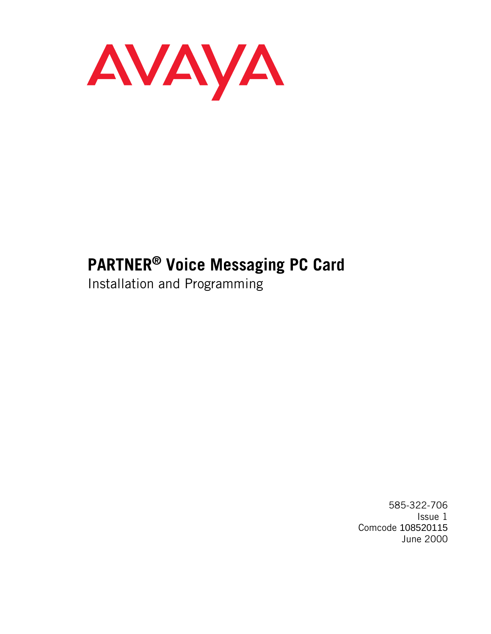

# **PARTNER® Voice Messaging PC Card**

Installation and Programming

585-322-706 Issue 1 Comcode 108520115 June 2000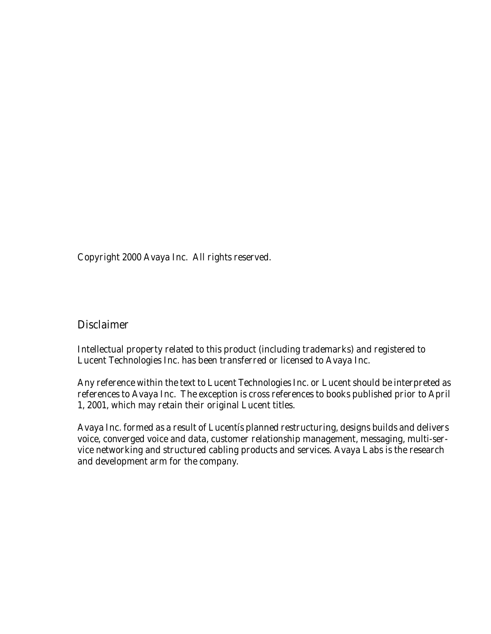**Copyright 2000 Avaya Inc. All rights reserved.**

# **Disclaimer**

**Intellectual property related to this product (including trademarks) and registered to Lucent Technologies Inc. has been transferred or licensed to Avaya Inc.**

**Any reference within the text to Lucent Technologies Inc. or Lucent should be interpreted as references to Avaya Inc. The exception is cross references to books published prior to April 1, 2001, which may retain their original Lucent titles.** 

**Avaya Inc. formed as a result of Lucentís planned restructuring, designs builds and delivers voice, converged voice and data, customer relationship management, messaging, multi-service networking and structured cabling products and services. Avaya Labs is the research and development arm for the company.**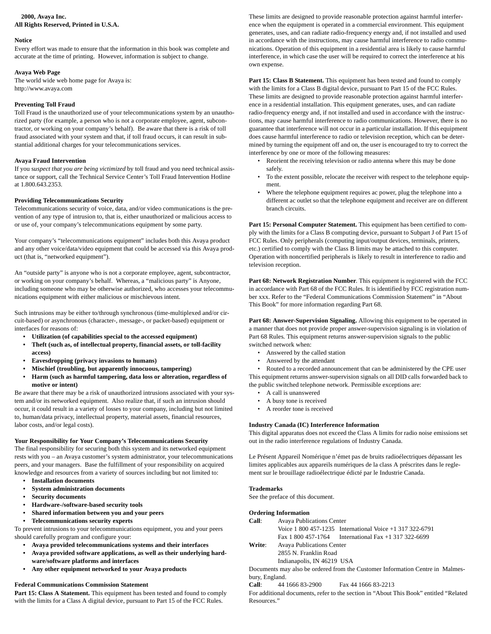# **2000, Avaya Inc.**

**All Rights Reserved, Printed in U.S.A.**

#### **Notice**

Every effort was made to ensure that the information in this book was complete and accurate at the time of printing. However, information is subject to change.

#### **Avaya Web Page**

The world wide web home page for Avaya is: http://www.avaya.com

#### **Preventing Toll Fraud**

Toll Fraud is the unauthorized use of your telecommunications system by an unauthorized party (for example, a person who is not a corporate employee, agent, subcontractor, or working on your company's behalf). Be aware that there is a risk of toll fraud associated with your system and that, if toll fraud occurs, it can result in substantial additional charges for your telecommunications services.

#### **Avaya Fraud Intervention**

If you s*uspect that you are being victimized* by toll fraud and you need technical assistance or support, call the Technical Service Center's Toll Fraud Intervention Hotline at 1.800.643.2353.

#### **Providing Telecommunications Security**

Telecommunications security of voice, data, and/or video communications is the prevention of any type of intrusion to, that is, either unauthorized or malicious access to or use of, your company's telecommunications equipment by some party.

Your company's "telecommunications equipment" includes both this Avaya product and any other voice/data/video equipment that could be accessed via this Avaya product (that is, "networked equipment").

An "outside party" is anyone who is not a corporate employee, agent, subcontractor, or working on your company's behalf. Whereas, a "malicious party" is Anyone, including someone who may be otherwise authorized, who accesses your telecommunications equipment with either malicious or mischievous intent.

Such intrusions may be either to/through synchronous (time-multiplexed and/or circuit-based) or asynchronous (character-, message-, or packet-based) equipment or interfaces for reasons of:

- **Utilization (of capabilities special to the accessed equipment)**
- **Theft (such as, of intellectual property, financial assets, or toll-facility access)**
- **Eavesdropping (privacy invasions to humans)**
- **Mischief (troubling, but apparently innocuous, tampering)**
- **Harm (such as harmful tampering, data loss or alteration, regardless of motive or intent)**

Be aware that there may be a risk of unauthorized intrusions associated with your system and/or its networked equipment. Also realize that, if such an intrusion should occur, it could result in a variety of losses to your company, including but not limited to, human/data privacy, intellectual property, material assets, financial resources, labor costs, and/or legal costs).

#### **Your Responsibility for Your Company's Telecommunications Security**

The final responsibility for securing both this system and its networked equipment rests with you – an Avaya customer's system administrator, your telecommunications peers, and your managers. Base the fulfillment of your responsibility on acquired knowledge and resources from a variety of sources including but not limited to:

- **Installation documents**
- **System administration documents**
- **Security documents**
- **Hardware-/software-based security tools**
- **Shared information between you and your peers**
- **Telecommunications security experts**

To prevent intrusions to your telecommunications equipment, you and your peers should carefully program and configure your:

- **Avaya provided telecommunications systems and their interfaces**
- **Avaya provided software applications, as well as their underlying hardware/software platforms and interfaces**
- **Any other equipment networked to your Avaya products**

#### **Federal Communications Commission Statement**

Part 15: Class A Statement. This equipment has been tested and found to comply with the limits for a Class A digital device, pursuant to Part 15 of the FCC Rules.

These limits are designed to provide reasonable protection against harmful interference when the equipment is operated in a commercial environment. This equipment generates, uses, and can radiate radio-frequency energy and, if not installed and used in accordance with the instructions, may cause harmful interference to radio communications. Operation of this equipment in a residential area is likely to cause harmful interference, in which case the user will be required to correct the interference at his own expense.

Part 15: Class B Statement. This equipment has been tested and found to comply with the limits for a Class B digital device, pursuant to Part 15 of the FCC Rules. These limits are designed to provide reasonable protection against harmful interference in a residential installation. This equipment generates, uses, and can radiate radio-frequency energy and, if not installed and used in accordance with the instructions, may cause harmful interference to radio communications. However, there is no guarantee that interference will not occur in a particular installation. If this equipment does cause harmful interference to radio or television reception, which can be determined by turning the equipment off and on, the user is encouraged to try to correct the interference by one or more of the following measures:

- Reorient the receiving television or radio antenna where this may be done safely.
- To the extent possible, relocate the receiver with respect to the telephone equipment.
- Where the telephone equipment requires ac power, plug the telephone into a different ac outlet so that the telephone equipment and receiver are on different branch circuits.

Part 15: Personal Computer Statement. This equipment has been certified to comply with the limits for a Class B computing device, pursuant to Subpart J of Part 15 of FCC Rules. Only peripherals (computing input/output devices, terminals, printers, etc.) certified to comply with the Class B limits may be attached to this computer. Operation with noncertified peripherals is likely to result in interference to radio and television reception.

**Part 68: Network Registration Number**. This equipment is registered with the FCC in accordance with Part 68 of the FCC Rules. It is identified by FCC registration number xxx. Refer to the "Federal Communications Commission Statement" in "About This Book" for more information regarding Part 68.

**Part 68: Answer-Supervision Signaling.** Allowing this equipment to be operated in a manner that does not provide proper answer-supervision signaling is in violation of Part 68 Rules. This equipment returns answer-supervision signals to the public switched network when:

- Answered by the called station
- Answered by the attendant

• Routed to a recorded announcement that can be administered by the CPE user This equipment returns answer-supervision signals on all DID calls forwarded back to the public switched telephone network. Permissible exceptions are:

- A call is unanswered
- A busy tone is received
- A reorder tone is received

#### **Industry Canada (IC) Interference Information**

This digital apparatus does not exceed the Class A limits for radio noise emissions set out in the radio interference regulations of Industry Canada.

Le Présent Appareil Nomérique n'émet pas de bruits radioélectriques dépassant les limites applicables aux appareils numériques de la class A préscrites dans le reglement sur le brouillage radioélectrique édicté par le Industrie Canada.

#### **Trademarks**

See the preface of this document.

#### **Ordering Information**

| Call:  | <b>Avaya Publications Center</b> |                                                                               |  |
|--------|----------------------------------|-------------------------------------------------------------------------------|--|
|        |                                  | Voice $1800457-1235$ International Voice $+1317322-6791$                      |  |
|        |                                  | Fax $1800457-1764$ International Fax $+1317322-6699$                          |  |
| Write: | <b>Avaya Publications Center</b> |                                                                               |  |
|        | 2855 N. Franklin Road            |                                                                               |  |
|        | Indianapolis, IN 46219 USA       |                                                                               |  |
|        |                                  | Documents may also be ordered from the Customer Information Centre in Malmes- |  |

bury, England.

**Call**: 44 1666 83-2900 Fax 44 1666 83-2213

For additional documents, refer to the section in "About This Book" entitled "Related Resources."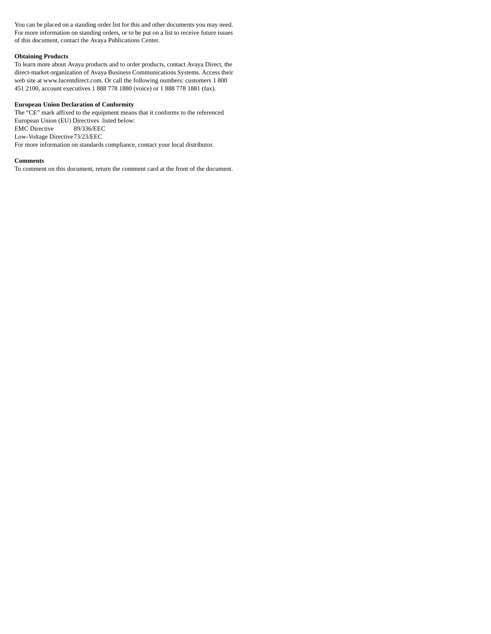You can be placed on a standing order list for this and other documents you may need. For more information on standing orders, or to be put on a list to receive future issues of this document, contact the Avaya Publications Center.

#### **Obtaining Products**

To learn more about Avaya products and to order products, contact Avaya Direct, the direct-market organization of Avaya Business Communications Systems. Access their web site at www.lucentdirect.com. Or call the following numbers: customers 1 800 451 2100, account executives 1 888 778 1880 (voice) or 1 888 778 1881 (fax).

#### **European Union Declaration of Conformity**

The "CE" mark affixed to the equipment means that it conforms to the referenced European Union (EU) Directives listed below: EMC Directive 89/336/EEC Low-Voltage Directive73/23/EEC For more information on standards compliance, contact your local distributor.

#### **Comments**

To comment on this document, return the comment card at the front of the document.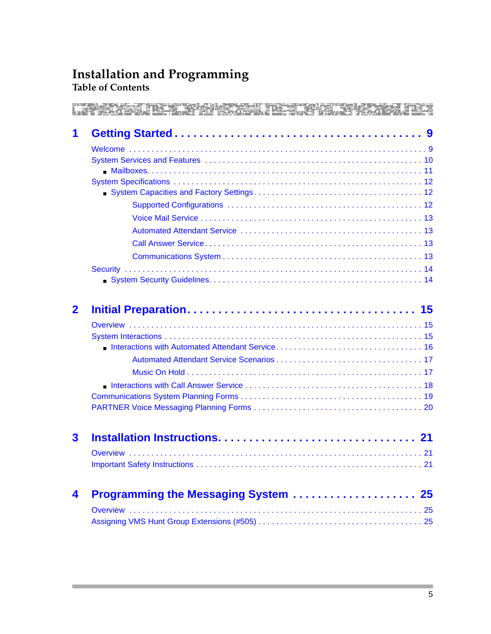# **Installation and Programming**

**Table of Contents**

п

|                         | ta a shekara ta 1998 a ƙafa ta ƙasar Angila.<br>'Yan ƙafa ta ƙasar ƙasar Ingila ta ƙasar Amerika |
|-------------------------|--------------------------------------------------------------------------------------------------|
| 1                       |                                                                                                  |
|                         |                                                                                                  |
|                         |                                                                                                  |
|                         |                                                                                                  |
|                         |                                                                                                  |
|                         |                                                                                                  |
|                         |                                                                                                  |
|                         |                                                                                                  |
|                         |                                                                                                  |
|                         |                                                                                                  |
|                         |                                                                                                  |
|                         |                                                                                                  |
|                         |                                                                                                  |
|                         |                                                                                                  |
| $\overline{\mathbf{2}}$ |                                                                                                  |
|                         |                                                                                                  |
|                         |                                                                                                  |
|                         |                                                                                                  |
|                         |                                                                                                  |
|                         |                                                                                                  |
|                         |                                                                                                  |
|                         |                                                                                                  |
|                         |                                                                                                  |
|                         |                                                                                                  |
| 3                       | 21                                                                                               |
|                         |                                                                                                  |
|                         |                                                                                                  |
|                         |                                                                                                  |
| 4                       | Programming the Messaging System  25                                                             |
|                         |                                                                                                  |
|                         |                                                                                                  |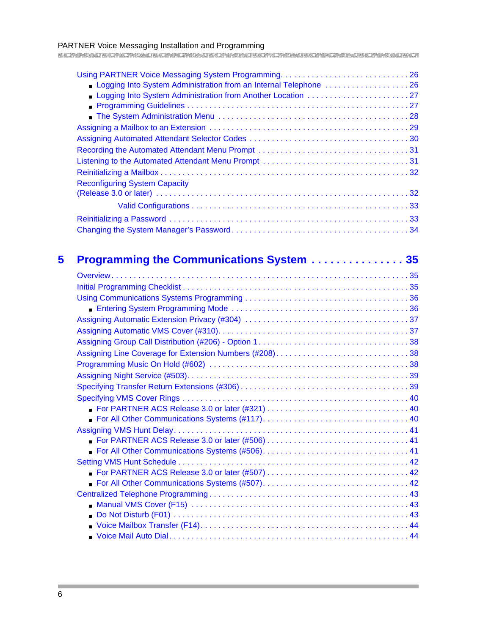# PARTNER Voice Messaging Installation and Programming<br>EXPERIMENTIVISTING INSTALLATION INTO THE CONTRACTOR OF THE SECOND INTERFERING INTERFERING

| Using PARTNER Voice Messaging System Programming26                      |  |
|-------------------------------------------------------------------------|--|
| <b>Logging Into System Administration from an Internal Telephone 26</b> |  |
|                                                                         |  |
|                                                                         |  |
|                                                                         |  |
|                                                                         |  |
|                                                                         |  |
|                                                                         |  |
|                                                                         |  |
|                                                                         |  |
| <b>Reconfiguring System Capacity</b>                                    |  |
|                                                                         |  |
|                                                                         |  |
|                                                                         |  |
|                                                                         |  |

| 5 | <b>Programming the Communications System  35</b> |
|---|--------------------------------------------------|
|   |                                                  |
|   |                                                  |
|   |                                                  |
|   |                                                  |
|   |                                                  |
|   |                                                  |
|   |                                                  |
|   |                                                  |
|   |                                                  |
|   |                                                  |
|   |                                                  |
|   |                                                  |
|   |                                                  |
|   |                                                  |
|   |                                                  |
|   |                                                  |
|   |                                                  |
|   |                                                  |
|   |                                                  |
|   |                                                  |
|   |                                                  |
|   |                                                  |
|   |                                                  |
|   |                                                  |
|   |                                                  |

۰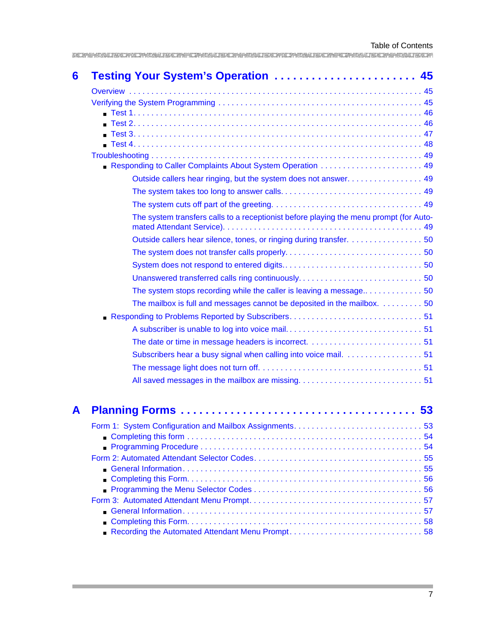| 6 | Testing Your System's Operation  45                                                    |
|---|----------------------------------------------------------------------------------------|
|   |                                                                                        |
|   |                                                                                        |
|   |                                                                                        |
|   |                                                                                        |
|   |                                                                                        |
|   |                                                                                        |
|   | Responding to Caller Complaints About System Operation  49                             |
|   | Outside callers hear ringing, but the system does not answer. 49                       |
|   |                                                                                        |
|   |                                                                                        |
|   | The system transfers calls to a receptionist before playing the menu prompt (for Auto- |
|   | Outside callers hear silence, tones, or ringing during transfer. 50                    |
|   |                                                                                        |
|   |                                                                                        |
|   |                                                                                        |
|   | The system stops recording while the caller is leaving a message 50                    |
|   | The mailbox is full and messages cannot be deposited in the mailbox. 50                |
|   |                                                                                        |
|   |                                                                                        |
|   |                                                                                        |
|   | Subscribers hear a busy signal when calling into voice mail. 51                        |
|   |                                                                                        |
|   |                                                                                        |
|   | 53                                                                                     |
|   |                                                                                        |
|   |                                                                                        |
|   |                                                                                        |
|   |                                                                                        |
|   |                                                                                        |
|   |                                                                                        |
|   |                                                                                        |

■ [General Information. . . . . . . . . . . . . . . . . . . . . . . . . . . . . . . . . . . . . . . . . . . . . . . . . . . . . . 57](#page-56-1) ■ [Completing this Form. . . . . . . . . . . . . . . . . . . . . . . . . . . . . . . . . . . . . . . . . . . . . . . . . . . . . 58](#page-57-0) ■ [Recording the Automated Attendant Menu Prompt. . . . . . . . . . . . . . . . . . . . . . . . . . . . . . 58](#page-57-1)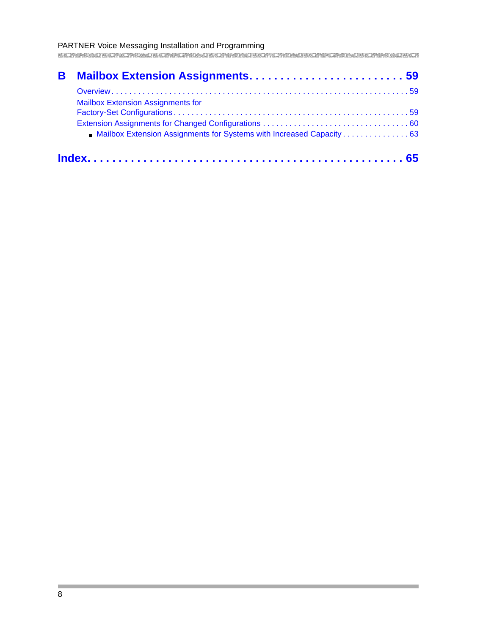# PARTNER Voice Messaging Installation and Programming<br>EXPERIMENTIVISTING INSTALLATION INTO THE CONTRACTOR OF THE SECOND INTERFERING INTERFERING

| B Mailbox Extension Assignments 59                                      |
|-------------------------------------------------------------------------|
|                                                                         |
| <b>Mailbox Extension Assignments for</b>                                |
|                                                                         |
| • Mailbox Extension Assignments for Systems with Increased Capacity  63 |
|                                                                         |

and the state of the state of the state of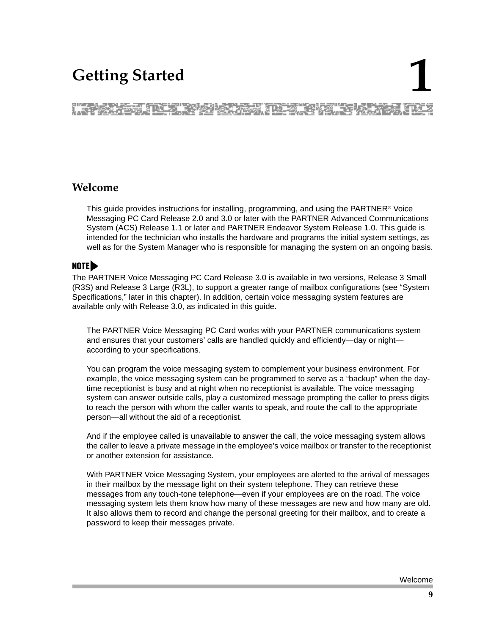# <span id="page-8-0"></span>**Getting Started 1**

# <span id="page-8-1"></span>**Welcome**

This guide provides instructions for installing, programming, and using the PARTNER® Voice Messaging PC Card Release 2.0 and 3.0 or later with the PARTNER Advanced Communications System (ACS) Release 1.1 or later and PARTNER Endeavor System Release 1.0. This guide is intended for the technician who installs the hardware and programs the initial system settings, as well as for the System Manager who is responsible for managing the system on an ongoing basis.

#### <span id="page-8-2"></span>**NOTE**

<span id="page-8-4"></span>The PARTNER Voice Messaging PC Card Release 3.0 is available in two versions, Release 3 Small (R3S) and Release 3 Large (R3L), to support a greater range of mailbox configurations (see "System Specifications," later in this chapter). In addition, certain voice messaging system features are available only with Release 3.0, as indicated in this guide.

<span id="page-8-3"></span>The PARTNER Voice Messaging PC Card works with your PARTNER communications system and ensures that your customers' calls are handled quickly and efficiently—day or night according to your specifications.

You can program the voice messaging system to complement your business environment. For example, the voice messaging system can be programmed to serve as a "backup" when the daytime receptionist is busy and at night when no receptionist is available. The voice messaging system can answer outside calls, play a customized message prompting the caller to press digits to reach the person with whom the caller wants to speak, and route the call to the appropriate person—all without the aid of a receptionist.

And if the employee called is unavailable to answer the call, the voice messaging system allows the caller to leave a private message in the employee's voice mailbox or transfer to the receptionist or another extension for assistance.

With PARTNER Voice Messaging System, your employees are alerted to the arrival of messages in their mailbox by the message light on their system telephone. They can retrieve these messages from any touch-tone telephone—even if your employees are on the road. The voice messaging system lets them know how many of these messages are new and how many are old. It also allows them to record and change the personal greeting for their mailbox, and to create a password to keep their messages private.

Welcome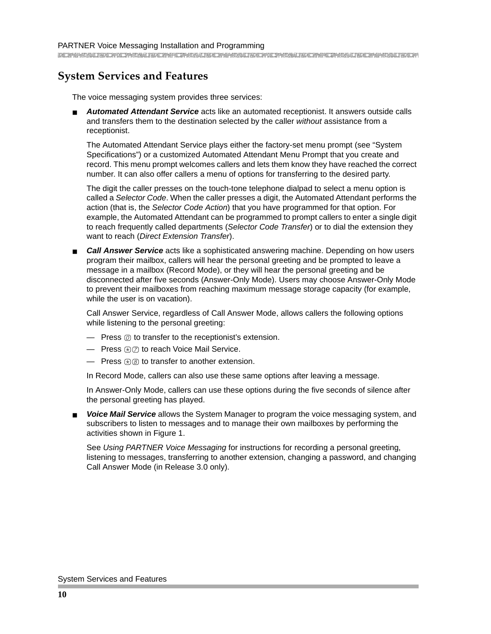<span id="page-9-13"></span>

# <span id="page-9-0"></span>**System Services and Features**

The voice messaging system provides three services:

<span id="page-9-3"></span>■ **Automated Attendant Service** acts like an automated receptionist. It answers outside calls and transfers them to the destination selected by the caller without assistance from a receptionist.

The Automated Attendant Service plays either the factory-set menu prompt (see "System Specifications") or a customized Automated Attendant Menu Prompt that you create and record. This menu prompt welcomes callers and lets them know they have reached the correct number. It can also offer callers a menu of options for transferring to the desired party.

<span id="page-9-11"></span><span id="page-9-10"></span><span id="page-9-9"></span><span id="page-9-6"></span>The digit the caller presses on the touch-tone telephone dialpad to select a menu option is called a Selector Code. When the caller presses a digit, the Automated Attendant performs the action (that is, the Selector Code Action) that you have programmed for that option. For example, the Automated Attendant can be programmed to prompt callers to enter a single digit to reach frequently called departments (Selector Code Transfer) or to dial the extension they want to reach (Direct Extension Transfer).

<span id="page-9-5"></span>**Call Answer Service** acts like a sophisticated answering machine. Depending on how users program their mailbox, callers will hear the personal greeting and be prompted to leave a message in a mailbox (Record Mode), or they will hear the personal greeting and be disconnected after five seconds (Answer-Only Mode). Users may choose Answer-Only Mode to prevent their mailboxes from reaching maximum message storage capacity (for example, while the user is on vacation).

<span id="page-9-7"></span><span id="page-9-4"></span><span id="page-9-1"></span>Call Answer Service, regardless of Call Answer Mode, allows callers the following options while listening to the personal greeting:

- $-$  Press  $\oslash$  to transfer to the receptionist's extension.
- $-$  Press  $\mathbb{R}$   $\mathbb{Z}$  to reach Voice Mail Service.
- $\blacksquare$  Press  $\mathcal{R}(\mathcal{B})$  to transfer to another extension.

<span id="page-9-8"></span>In Record Mode, callers can also use these same options after leaving a message.

<span id="page-9-2"></span>In Answer-Only Mode, callers can use these options during the five seconds of silence after the personal greeting has played.

<span id="page-9-12"></span>**Voice Mail Service** allows the System Manager to program the voice messaging system, and subscribers to listen to messages and to manage their own mailboxes by performing the activities shown in Figure 1.

See Using PARTNER Voice Messaging for instructions for recording a personal greeting, listening to messages, transferring to another extension, changing a password, and changing Call Answer Mode (in Release 3.0 only).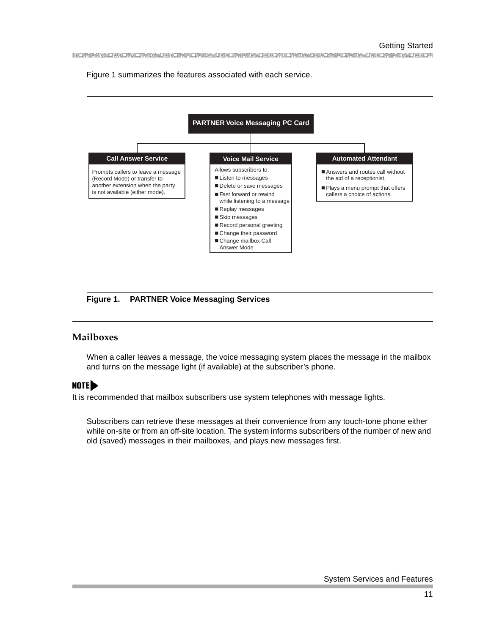Figure 1 summarizes the features associated with each service.



**Figure 1. PARTNER Voice Messaging Services**

# <span id="page-10-1"></span><span id="page-10-0"></span>**Mailboxes**

When a caller leaves a message, the voice messaging system places the message in the mailbox and turns on the message light (if available) at the subscriber's phone.

# **NOTE**

It is recommended that mailbox subscribers use system telephones with message lights.

Subscribers can retrieve these messages at their convenience from any touch-tone phone either while on-site or from an off-site location. The system informs subscribers of the number of new and old (saved) messages in their mailboxes, and plays new messages first.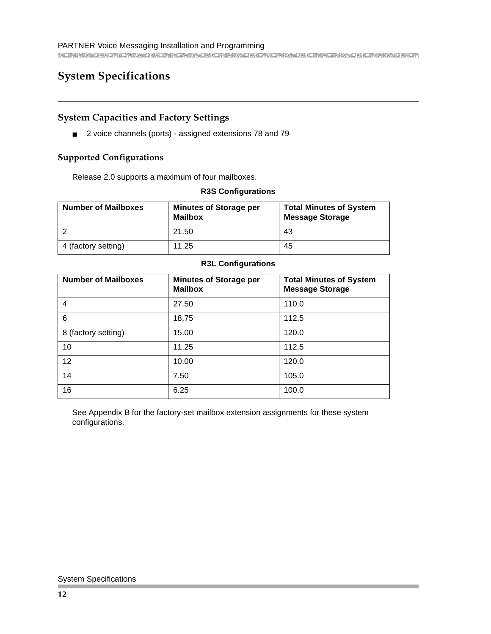PARTNER Voice Messaging Installation and Programming<br>FERWYSSIE EXPRESNEE TELEVINEES AND EXPRESS THE PROGRAMME SYSTEM TELEVINEES TELEVINEES TELEVINEES

# <span id="page-11-0"></span>**System Specifications**

# <span id="page-11-4"></span><span id="page-11-1"></span>**System Capacities and Factory Settings**

<span id="page-11-3"></span>■ 2 voice channels (ports) - assigned extensions 78 and 79

# <span id="page-11-2"></span>**Supported Configurations**

Release 2.0 supports a maximum of four mailboxes.

| <b>Number of Mailboxes</b> | <b>Minutes of Storage per</b><br><b>Mailbox</b> | <b>Total Minutes of System</b><br><b>Message Storage</b> |
|----------------------------|-------------------------------------------------|----------------------------------------------------------|
|                            | 21.50                                           | 43                                                       |
| 4 (factory setting)        | 11.25                                           | 45                                                       |

# **R3S Configurations**

#### **R3L Configurations**

| <b>Number of Mailboxes</b> | <b>Minutes of Storage per</b><br><b>Mailbox</b> | <b>Total Minutes of System</b><br><b>Message Storage</b> |
|----------------------------|-------------------------------------------------|----------------------------------------------------------|
| 4                          | 27.50                                           | 110.0                                                    |
| 6                          | 18.75                                           | 112.5                                                    |
| 8 (factory setting)        | 15.00                                           | 120.0                                                    |
| 10                         | 11.25                                           | 112.5                                                    |
| 12                         | 10.00                                           | 120.0                                                    |
| 14                         | 7.50                                            | 105.0                                                    |
| 16                         | 6.25                                            | 100.0                                                    |

See Appendix B for the factory-set mailbox extension assignments for these system configurations.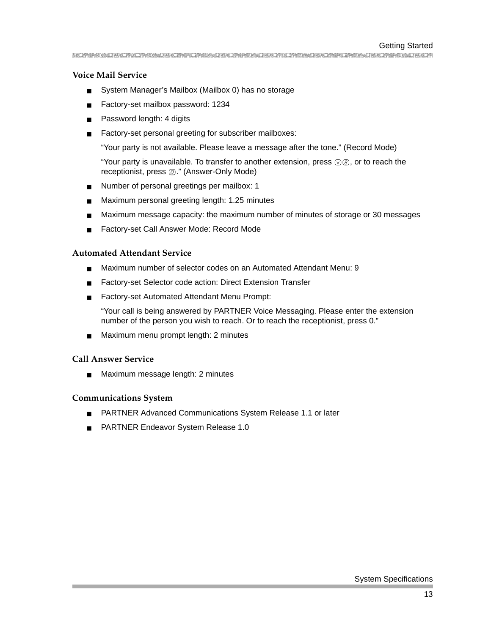.<br>그리 한 시 전 사람의 그만 하나 있는 사람들이 그만 있는 것 같은 것 같은데 그만 있는 것 같은 것 같은데, 그만 하나 사람들이 나 있는 것 같은 것 같은 것 같은데, 그만 있는 것 같은 것 같은

#### <span id="page-12-0"></span>**Voice Mail Service**

- System Manager's Mailbox (Mailbox 0) has no storage
- Factory-set mailbox password: 1234
- Password length: 4 digits
- Factory-set personal greeting for subscriber mailboxes:

"Your party is not available. Please leave a message after the tone." (Record Mode)

"Your party is unavailable. To transfer to another extension, press  $\circledast \circledast$ , or to reach the receptionist, press  $\oslash$ ." (Answer-Only Mode)

- Number of personal greetings per mailbox: 1
- Maximum personal greeting length: 1.25 minutes
- Maximum message capacity: the maximum number of minutes of storage or 30 messages
- Factory-set Call Answer Mode: Record Mode

#### <span id="page-12-1"></span>**Automated Attendant Service**

- Maximum number of selector codes on an Automated Attendant Menu: 9
- Factory-set Selector code action: Direct Extension Transfer
- Factory-set Automated Attendant Menu Prompt:

"Your call is being answered by PARTNER Voice Messaging. Please enter the extension number of the person you wish to reach. Or to reach the receptionist, press 0."

■ Maximum menu prompt length: 2 minutes

#### <span id="page-12-2"></span>**Call Answer Service**

■ Maximum message length: 2 minutes

#### <span id="page-12-3"></span>**Communications System**

- PARTNER Advanced Communications System Release 1.1 or later
- PARTNER Endeavor System Release 1.0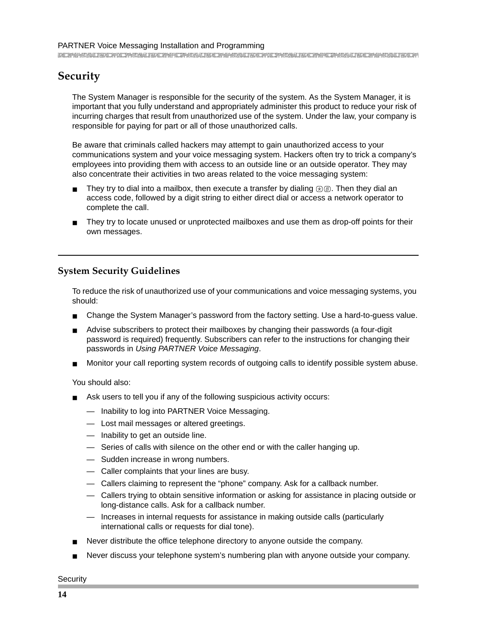# <span id="page-13-0"></span>**Security**

<span id="page-13-2"></span>The System Manager is responsible for the security of the system. As the System Manager, it is important that you fully understand and appropriately administer this product to reduce your risk of incurring charges that result from unauthorized use of the system. Under the law, your company is responsible for paying for part or all of those unauthorized calls.

Be aware that criminals called hackers may attempt to gain unauthorized access to your communications system and your voice messaging system. Hackers often try to trick a company's employees into providing them with access to an outside line or an outside operator. They may also concentrate their activities in two areas related to the voice messaging system:

- They try to dial into a mailbox, then execute a transfer by dialing  $\mathcal{R}(\mathcal{B})$ . Then they dial an access code, followed by a digit string to either direct dial or access a network operator to complete the call.
- They try to locate unused or unprotected mailboxes and use them as drop-off points for their own messages.

# <span id="page-13-1"></span>**System Security Guidelines**

To reduce the risk of unauthorized use of your communications and voice messaging systems, you should:

- Change the System Manager's password from the factory setting. Use a hard-to-guess value.
- Advise subscribers to protect their mailboxes by changing their passwords (a four-digit password is required) frequently. Subscribers can refer to the instructions for changing their passwords in Using PARTNER Voice Messaging.
- Monitor your call reporting system records of outgoing calls to identify possible system abuse.

You should also:

- Ask users to tell you if any of the following suspicious activity occurs:
	- Inability to log into PARTNER Voice Messaging.
	- Lost mail messages or altered greetings.
	- Inability to get an outside line.
	- Series of calls with silence on the other end or with the caller hanging up.
	- Sudden increase in wrong numbers.
	- Caller complaints that your lines are busy.
	- Callers claiming to represent the "phone" company. Ask for a callback number.
	- Callers trying to obtain sensitive information or asking for assistance in placing outside or long-distance calls. Ask for a callback number.
	- Increases in internal requests for assistance in making outside calls (particularly international calls or requests for dial tone).
- Never distribute the office telephone directory to anyone outside the company.
- Never discuss your telephone system's numbering plan with anyone outside your company.

**Security**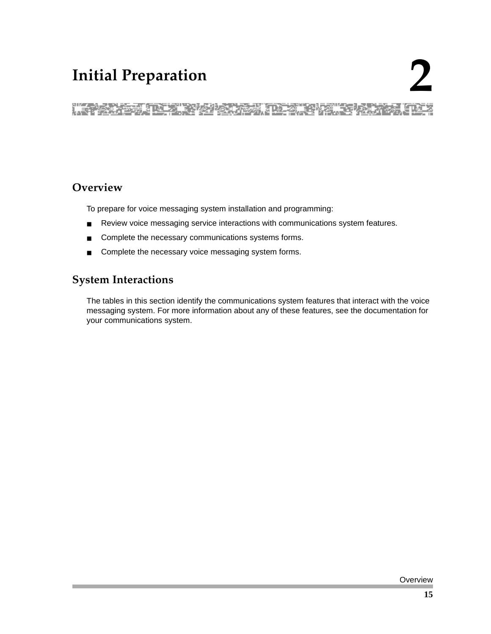# <span id="page-14-0"></span>Initial Preparation<br>第222章 中文**文学文学文学文学文学文学文学文学文学文学文学文学文学**

# <span id="page-14-1"></span>**Overview**

To prepare for voice messaging system installation and programming:

- <span id="page-14-3"></span>■ Review voice messaging service interactions with communications system features.
- Complete the necessary communications systems forms.
- Complete the necessary voice messaging system forms.

# <span id="page-14-2"></span>**System Interactions**

The tables in this section identify the communications system features that interact with the voice messaging system. For more information about any of these features, see the documentation for your communications system.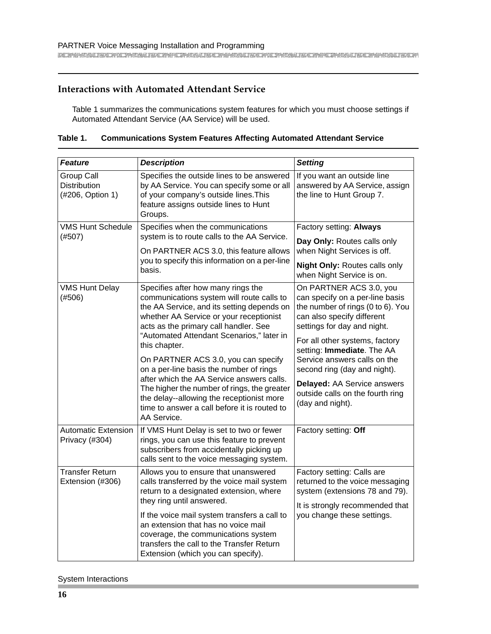PARTNER Voice Messaging Installation and Programming<br>FERNING TERRITORIAL TERRITORIAL TERRITORIAL TERRITORIAL TERRITORIAL TERRITORIAL TERRITORIAL

# <span id="page-15-0"></span>**Interactions with Automated Attendant Service**

Table 1 summarizes the communications system features for which you must choose settings if Automated Attendant Service (AA Service) will be used.

| Table 1. | <b>Communications System Features Affecting Automated Attendant Service</b> |  |  |
|----------|-----------------------------------------------------------------------------|--|--|
|          |                                                                             |  |  |

<span id="page-15-5"></span><span id="page-15-4"></span><span id="page-15-2"></span>

| <b>Feature</b>                                        | <b>Description</b>                                                                                                                                                                                                                                                                                                                                                                                                                                                                                                                                                        | <b>Setting</b>                                                                                                                                                                                                                                                                                                                                                                      |
|-------------------------------------------------------|---------------------------------------------------------------------------------------------------------------------------------------------------------------------------------------------------------------------------------------------------------------------------------------------------------------------------------------------------------------------------------------------------------------------------------------------------------------------------------------------------------------------------------------------------------------------------|-------------------------------------------------------------------------------------------------------------------------------------------------------------------------------------------------------------------------------------------------------------------------------------------------------------------------------------------------------------------------------------|
| Group Call<br><b>Distribution</b><br>(#206, Option 1) | Specifies the outside lines to be answered<br>by AA Service. You can specify some or all<br>of your company's outside lines. This<br>feature assigns outside lines to Hunt<br>Groups.                                                                                                                                                                                                                                                                                                                                                                                     | If you want an outside line<br>answered by AA Service, assign<br>the line to Hunt Group 7.                                                                                                                                                                                                                                                                                          |
| <b>VMS Hunt Schedule</b><br>(#507)                    | Specifies when the communications<br>system is to route calls to the AA Service.<br>On PARTNER ACS 3.0, this feature allows<br>you to specify this information on a per-line<br>basis.                                                                                                                                                                                                                                                                                                                                                                                    | Factory setting: Always<br>Day Only: Routes calls only<br>when Night Services is off.<br>Night Only: Routes calls only<br>when Night Service is on.                                                                                                                                                                                                                                 |
| <b>VMS Hunt Delay</b><br>(#506)                       | Specifies after how many rings the<br>communications system will route calls to<br>the AA Service, and its setting depends on<br>whether AA Service or your receptionist<br>acts as the primary call handler. See<br>"Automated Attendant Scenarios," later in<br>this chapter.<br>On PARTNER ACS 3.0, you can specify<br>on a per-line basis the number of rings<br>after which the AA Service answers calls.<br>The higher the number of rings, the greater<br>the delay--allowing the receptionist more<br>time to answer a call before it is routed to<br>AA Service. | On PARTNER ACS 3.0, you<br>can specify on a per-line basis<br>the number of rings (0 to 6). You<br>can also specify different<br>settings for day and night.<br>For all other systems, factory<br>setting: Immediate. The AA<br>Service answers calls on the<br>second ring (day and night).<br>Delayed: AA Service answers<br>outside calls on the fourth ring<br>(day and night). |
| <b>Automatic Extension</b><br>Privacy (#304)          | If VMS Hunt Delay is set to two or fewer<br>rings, you can use this feature to prevent<br>subscribers from accidentally picking up<br>calls sent to the voice messaging system.                                                                                                                                                                                                                                                                                                                                                                                           | Factory setting: Off                                                                                                                                                                                                                                                                                                                                                                |
| <b>Transfer Return</b><br>Extension (#306)            | Allows you to ensure that unanswered<br>calls transferred by the voice mail system<br>return to a designated extension, where<br>they ring until answered.<br>If the voice mail system transfers a call to<br>an extension that has no voice mail<br>coverage, the communications system<br>transfers the call to the Transfer Return<br>Extension (which you can specify).                                                                                                                                                                                               | Factory setting: Calls are<br>returned to the voice messaging<br>system (extensions 78 and 79).<br>It is strongly recommended that<br>you change these settings.                                                                                                                                                                                                                    |

<span id="page-15-3"></span><span id="page-15-1"></span>System Interactions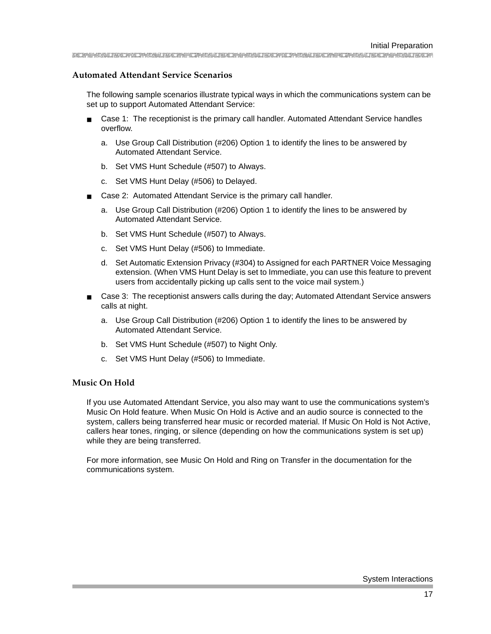.<br>그리 한 시 전 사람의 그만 하나 있는 사람들이 그만 있는 것 같은 것 같은데 그만 있는 것 같은 것 같은데, 그만 하나 사람들이 나 있는 것 같은 것 같은 것 같은데, 그만 있는 것 같은 것 같은

#### <span id="page-16-0"></span>**Automated Attendant Service Scenarios**

<span id="page-16-2"></span>The following sample scenarios illustrate typical ways in which the communications system can be set up to support Automated Attendant Service:

- Case 1: The receptionist is the primary call handler. Automated Attendant Service handles overflow.
	- a. Use Group Call Distribution (#206) Option 1 to identify the lines to be answered by Automated Attendant Service.
	- b. Set VMS Hunt Schedule (#507) to Always.
	- c. Set VMS Hunt Delay (#506) to Delayed.
- Case 2: Automated Attendant Service is the primary call handler.
	- a. Use Group Call Distribution (#206) Option 1 to identify the lines to be answered by Automated Attendant Service.
	- b. Set VMS Hunt Schedule (#507) to Always.
	- c. Set VMS Hunt Delay (#506) to Immediate.
	- d. Set Automatic Extension Privacy (#304) to Assigned for each PARTNER Voice Messaging extension. (When VMS Hunt Delay is set to Immediate, you can use this feature to prevent users from accidentally picking up calls sent to the voice mail system.)
- Case 3: The receptionist answers calls during the day; Automated Attendant Service answers calls at night.
	- a. Use Group Call Distribution (#206) Option 1 to identify the lines to be answered by Automated Attendant Service.
	- b. Set VMS Hunt Schedule (#507) to Night Only.
	- c. Set VMS Hunt Delay (#506) to Immediate.

#### <span id="page-16-3"></span><span id="page-16-1"></span>**Music On Hold**

If you use Automated Attendant Service, you also may want to use the communications system's Music On Hold feature. When Music On Hold is Active and an audio source is connected to the system, callers being transferred hear music or recorded material. If Music On Hold is Not Active, callers hear tones, ringing, or silence (depending on how the communications system is set up) while they are being transferred.

For more information, see Music On Hold and Ring on Transfer in the documentation for the communications system.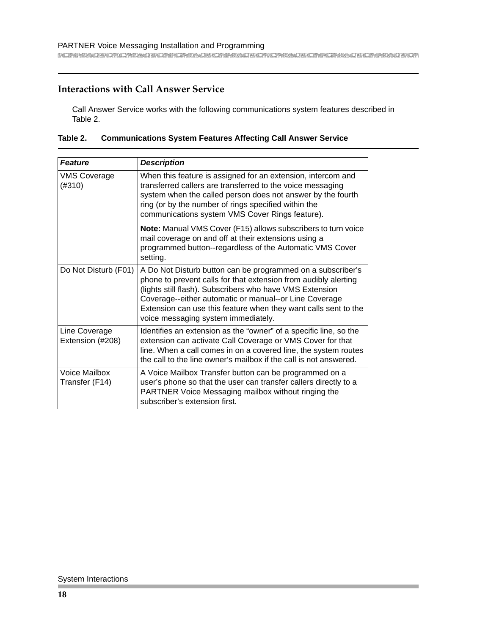MORTH THREE BELL AND THE STREET RELEASED AND THE STREET BELOCAL CONTRACTIONS IN THE STREET BELOCAL CONTRACTION

# <span id="page-17-0"></span>**Interactions with Call Answer Service**

Call Answer Service works with the following communications system features described in Table 2.

| Table 2. | <b>Communications System Features Affecting Call Answer Service</b> |  |  |  |
|----------|---------------------------------------------------------------------|--|--|--|
|----------|---------------------------------------------------------------------|--|--|--|

<span id="page-17-5"></span><span id="page-17-4"></span><span id="page-17-3"></span><span id="page-17-2"></span><span id="page-17-1"></span>

| <b>Feature</b>                    | <b>Description</b>                                                                                                                                                                                                                                                                                                                                             |
|-----------------------------------|----------------------------------------------------------------------------------------------------------------------------------------------------------------------------------------------------------------------------------------------------------------------------------------------------------------------------------------------------------------|
| <b>VMS Coverage</b><br>(#310)     | When this feature is assigned for an extension, intercom and<br>transferred callers are transferred to the voice messaging<br>system when the called person does not answer by the fourth<br>ring (or by the number of rings specified within the<br>communications system VMS Cover Rings feature).                                                           |
|                                   | <b>Note:</b> Manual VMS Cover (F15) allows subscribers to turn voice<br>mail coverage on and off at their extensions using a<br>programmed button--regardless of the Automatic VMS Cover<br>setting.                                                                                                                                                           |
| Do Not Disturb (F01)              | A Do Not Disturb button can be programmed on a subscriber's<br>phone to prevent calls for that extension from audibly alerting<br>(lights still flash). Subscribers who have VMS Extension<br>Coverage--either automatic or manual--or Line Coverage<br>Extension can use this feature when they want calls sent to the<br>voice messaging system immediately. |
| Line Coverage<br>Extension (#208) | Identifies an extension as the "owner" of a specific line, so the<br>extension can activate Call Coverage or VMS Cover for that<br>line. When a call comes in on a covered line, the system routes<br>the call to the line owner's mailbox if the call is not answered.                                                                                        |
| Voice Mailbox<br>Transfer (F14)   | A Voice Mailbox Transfer button can be programmed on a<br>user's phone so that the user can transfer callers directly to a<br>PARTNER Voice Messaging mailbox without ringing the<br>subscriber's extension first.                                                                                                                                             |

and the state of the state of the state of the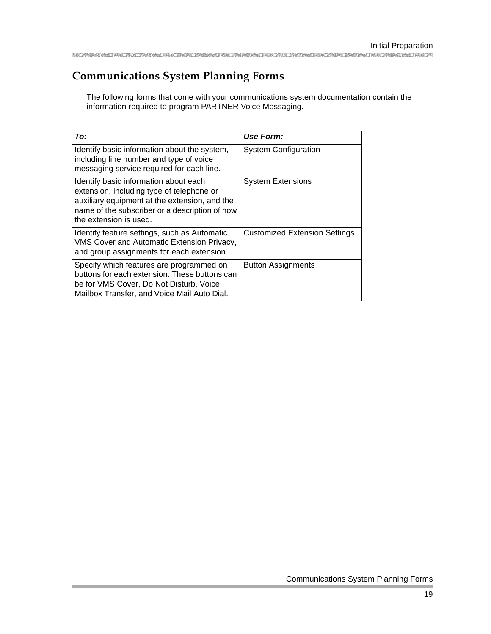M MART BROP MARTHE MART PROFILE THE STATE OF THE STATE OF THE STATE OF THE MART PROPERTY OF THE STATE OF THE STATE OF THE STATE OF THE STATE OF THE STATE OF THE STATE OF THE STATE OF THE STATE OF THE STATE OF THE STATE OF

# <span id="page-18-1"></span><span id="page-18-0"></span>**Communications System Planning Forms**

The following forms that come with your communications system documentation contain the information required to program PARTNER Voice Messaging.

| To:                                                                                                                                                                                                             | Use Form:                            |
|-----------------------------------------------------------------------------------------------------------------------------------------------------------------------------------------------------------------|--------------------------------------|
| Identify basic information about the system,<br>including line number and type of voice<br>messaging service required for each line.                                                                            | <b>System Configuration</b>          |
| Identify basic information about each<br>extension, including type of telephone or<br>auxiliary equipment at the extension, and the<br>name of the subscriber or a description of how<br>the extension is used. | <b>System Extensions</b>             |
| Identify feature settings, such as Automatic<br>VMS Cover and Automatic Extension Privacy,<br>and group assignments for each extension.                                                                         | <b>Customized Extension Settings</b> |
| Specify which features are programmed on<br>buttons for each extension. These buttons can<br>be for VMS Cover, Do Not Disturb, Voice<br>Mailbox Transfer, and Voice Mail Auto Dial.                             | <b>Button Assignments</b>            |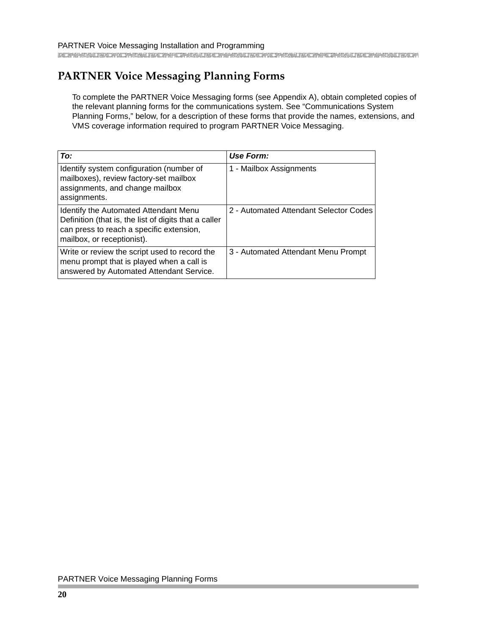# <span id="page-19-0"></span>**PARTNER Voice Messaging Planning Forms**

<span id="page-19-1"></span>To complete the PARTNER Voice Messaging forms (see Appendix A), obtain completed copies of the relevant planning forms for the communications system. See "Communications System Planning Forms," below, for a description of these forms that provide the names, extensions, and VMS coverage information required to program PARTNER Voice Messaging.

| To:                                                                                                                                                                      | Use Form:                              |
|--------------------------------------------------------------------------------------------------------------------------------------------------------------------------|----------------------------------------|
| Identify system configuration (number of<br>mailboxes), review factory-set mailbox<br>assignments, and change mailbox<br>assignments.                                    | 1 - Mailbox Assignments                |
| Identify the Automated Attendant Menu<br>Definition (that is, the list of digits that a caller<br>can press to reach a specific extension,<br>mailbox, or receptionist). | 2 - Automated Attendant Selector Codes |
| Write or review the script used to record the<br>menu prompt that is played when a call is<br>answered by Automated Attendant Service.                                   | 3 - Automated Attendant Menu Prompt    |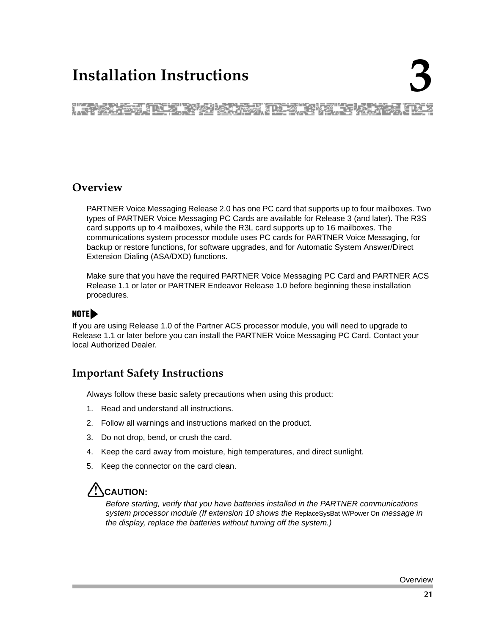# <span id="page-20-3"></span><span id="page-20-0"></span>**Installation Instructions 3**

# <span id="page-20-1"></span>**Overview**

<span id="page-20-4"></span>PARTNER Voice Messaging Release 2.0 has one PC card that supports up to four mailboxes. Two types of PARTNER Voice Messaging PC Cards are available for Release 3 (and later). The R3S card supports up to 4 mailboxes, while the R3L card supports up to 16 mailboxes. The communications system processor module uses PC cards for PARTNER Voice Messaging, for backup or restore functions, for software upgrades, and for Automatic System Answer/Direct Extension Dialing (ASA/DXD) functions.

Make sure that you have the required PARTNER Voice Messaging PC Card and PARTNER ACS Release 1.1 or later or PARTNER Endeavor Release 1.0 before beginning these installation procedures.

# **NOTE**

If you are using Release 1.0 of the Partner ACS processor module, you will need to upgrade to Release 1.1 or later before you can install the PARTNER Voice Messaging PC Card. Contact your local Authorized Dealer.

# <span id="page-20-2"></span>**Important Safety Instructions**

Always follow these basic safety precautions when using this product:

- 1. Read and understand all instructions.
- 2. Follow all warnings and instructions marked on the product.
- 3. Do not drop, bend, or crush the card.
- 4. Keep the card away from moisture, high temperatures, and direct sunlight.
- 5. Keep the connector on the card clean.

# **CAUTION:**

Before starting, verify that you have batteries installed in the PARTNER communications system processor module (If extension 10 shows the ReplaceSysBat W/Power On message in the display, replace the batteries without turning off the system.)

**Overview**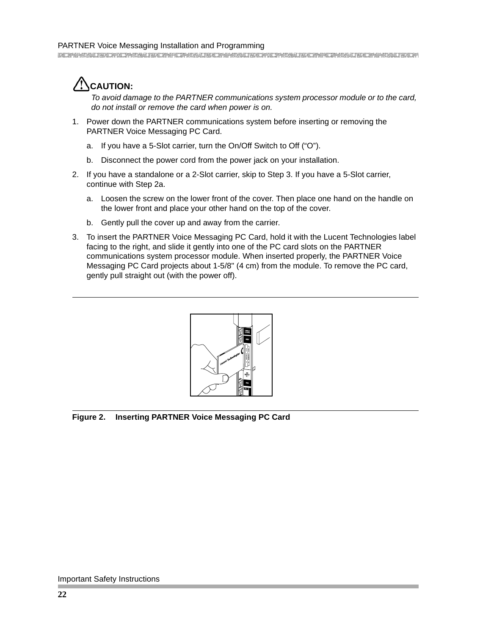# **CAUTION:**

To avoid damage to the PARTNER communications system processor module or to the card, do not install or remove the card when power is on.

- 1. Power down the PARTNER communications system before inserting or removing the PARTNER Voice Messaging PC Card.
	- a. If you have a 5-Slot carrier, turn the On/Off Switch to Off ("O").
	- b. Disconnect the power cord from the power jack on your installation.
- 2. If you have a standalone or a 2-Slot carrier, skip to Step 3. If you have a 5-Slot carrier, continue with Step 2a.
	- a. Loosen the screw on the lower front of the cover. Then place one hand on the handle on the lower front and place your other hand on the top of the cover.
	- b. Gently pull the cover up and away from the carrier.
- 3. To insert the PARTNER Voice Messaging PC Card, hold it with the Lucent Technologies label facing to the right, and slide it gently into one of the PC card slots on the PARTNER communications system processor module. When inserted properly, the PARTNER Voice Messaging PC Card projects about 1-5/8" (4 cm) from the module. To remove the PC card, gently pull straight out (with the power off).



**Figure 2. Inserting PARTNER Voice Messaging PC Card**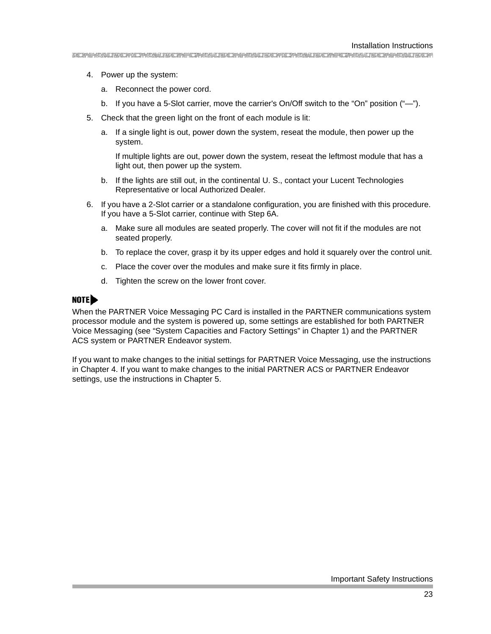.<br>그리 한 시 전 사람의 그만 하나 있는 사람들이 그만 있는 것 같은 것 같은데 그만 있는 것 같은 것 같은데, 그만 하나 사람들이 나 있는 것 같은 것 같은 것 같은데, 그만 있는 것 같은 것 같은

- 4. Power up the system:
	- a. Reconnect the power cord.
	- b. If you have a 5-Slot carrier, move the carrier's On/Off switch to the "On" position ("—").
- 5. Check that the green light on the front of each module is lit:
	- a. If a single light is out, power down the system, reseat the module, then power up the system.

If multiple lights are out, power down the system, reseat the leftmost module that has a light out, then power up the system.

- b. If the lights are still out, in the continental U. S., contact your Lucent Technologies Representative or local Authorized Dealer.
- 6. If you have a 2-Slot carrier or a standalone configuration, you are finished with this procedure. If you have a 5-Slot carrier, continue with Step 6A.
	- a. Make sure all modules are seated properly. The cover will not fit if the modules are not seated properly.
	- b. To replace the cover, grasp it by its upper edges and hold it squarely over the control unit.
	- c. Place the cover over the modules and make sure it fits firmly in place.
	- d. Tighten the screw on the lower front cover.

# **NOTE**

When the PARTNER Voice Messaging PC Card is installed in the PARTNER communications system processor module and the system is powered up, some settings are established for both PARTNER Voice Messaging (see "System Capacities and Factory Settings" in Chapter 1) and the PARTNER ACS system or PARTNER Endeavor system.

<span id="page-22-0"></span>If you want to make changes to the initial settings for PARTNER Voice Messaging, use the instructions in Chapter 4. If you want to make changes to the initial PARTNER ACS or PARTNER Endeavor settings, use the instructions in Chapter 5.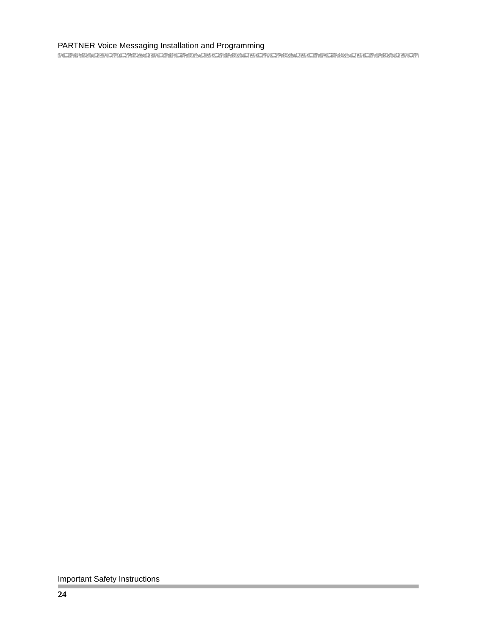PARTNER Voice Messaging Installation and Programming<br>FERWERKERTER PRENDITIE FOR THE ENGINEERS OF THE PRENDITIE TO THE ENGINEERS OF THE ENGINEERS

Important Safety Instructions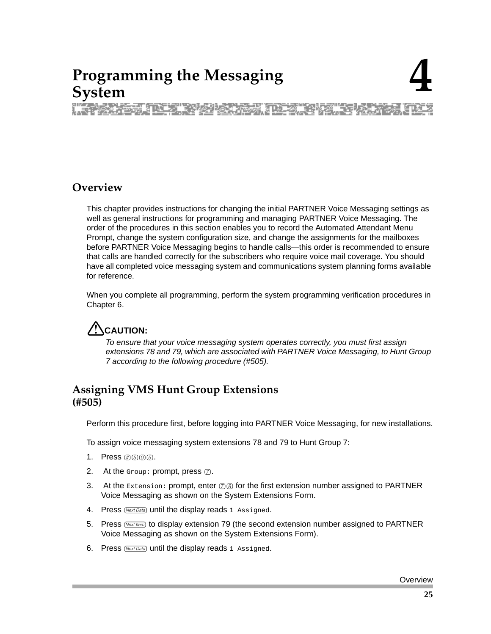# <span id="page-24-0"></span>**Programming the Messaging System 4**

# <span id="page-24-1"></span>**Overview**

This chapter provides instructions for changing the initial PARTNER Voice Messaging settings as well as general instructions for programming and managing PARTNER Voice Messaging. The order of the procedures in this section enables you to record the Automated Attendant Menu Prompt, change the system configuration size, and change the assignments for the mailboxes before PARTNER Voice Messaging begins to handle calls—this order is recommended to ensure that calls are handled correctly for the subscribers who require voice mail coverage. You should have all completed voice messaging system and communications system planning forms available for reference.

When you complete all programming, perform the system programming verification procedures in Chapter 6.

# **CAUTION:**

<span id="page-24-3"></span>To ensure that your voice messaging system operates correctly, you must first assign extensions 78 and 79, which are associated with PARTNER Voice Messaging, to Hunt Group 7 according to the following procedure (#505).

# <span id="page-24-2"></span>**Assigning VMS Hunt Group Extensions (#505)**

Perform this procedure first, before logging into PARTNER Voice Messaging, for new installations.

<span id="page-24-4"></span>To assign voice messaging system extensions 78 and 79 to Hunt Group 7:

- 1. Press #5005.
- 2. At the  $Group: prompt, press \n  $\emptyset$ .$
- 3. At the  $\text{Extension}:$  prompt, enter  $\oslash\oslash\oslash$  for the first extension number assigned to PARTNER Voice Messaging as shown on the System Extensions Form.
- 4. Press  $(NextData)$  until the display reads 1 Assigned.
- 5. Press **Next liem** to display extension 79 (the second extension number assigned to PARTNER Voice Messaging as shown on the System Extensions Form).
- 6. Press  $(Next Data)$  until the display reads 1 Assigned.

**Overview**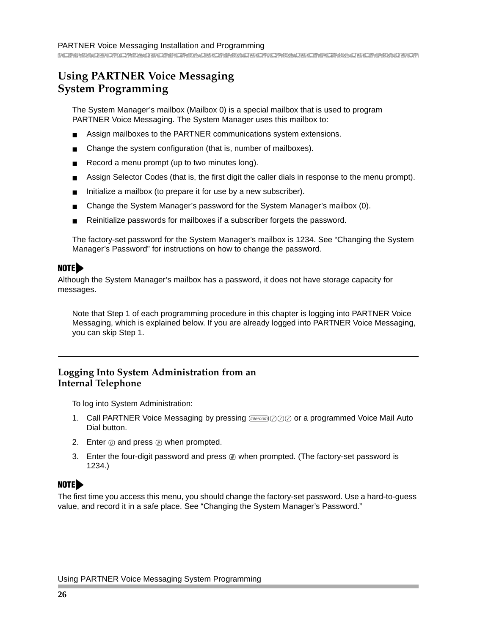# <span id="page-25-0"></span>**Using PARTNER Voice Messaging System Programming**

<span id="page-25-5"></span><span id="page-25-3"></span>The System Manager's mailbox (Mailbox 0) is a special mailbox that is used to program PARTNER Voice Messaging. The System Manager uses this mailbox to:

- Assign mailboxes to the PARTNER communications system extensions.
- Change the system configuration (that is, number of mailboxes).
- Record a menu prompt (up to two minutes long).
- Assign Selector Codes (that is, the first digit the caller dials in response to the menu prompt).
- Initialize a mailbox (to prepare it for use by a new subscriber).
- Change the System Manager's password for the System Manager's mailbox (0).
- Reinitialize passwords for mailboxes if a subscriber forgets the password.

The factory-set password for the System Manager's mailbox is 1234. See "Changing the System Manager's Password" for instructions on how to change the password.

# **NOTE**

Although the System Manager's mailbox has a password, it does not have storage capacity for messages.

Note that Step 1 of each programming procedure in this chapter is logging into PARTNER Voice Messaging, which is explained below. If you are already logged into PARTNER Voice Messaging, you can skip Step 1.

# <span id="page-25-2"></span><span id="page-25-1"></span>**Logging Into System Administration from an Internal Telephone**

<span id="page-25-4"></span>To log into System Administration:

- 1. Call PARTNER Voice Messaging by pressing *Intercom* [2] or a programmed Voice Mail Auto Dial button.
- 2. Enter  $\oslash$  and press  $\oslash$  when prompted.
- 3. Enter the four-digit password and press  $\circledast$  when prompted. (The factory-set password is 1234.)

# NOTE<sup>></sup>

The first time you access this menu, you should change the factory-set password. Use a hard-to-guess value, and record it in a safe place. See "Changing the System Manager's Password."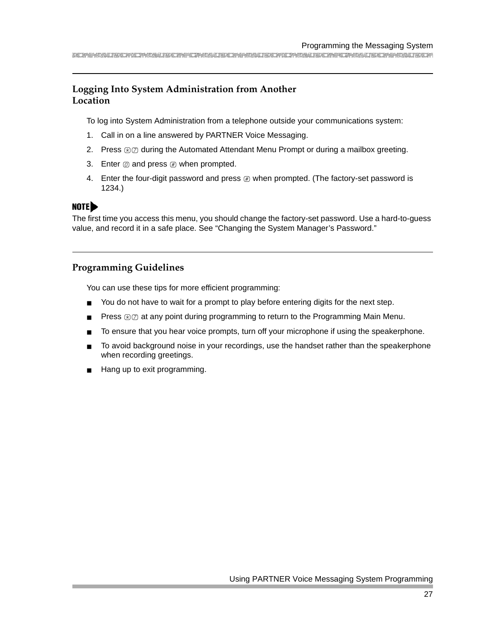.<br>그리 한 시 전 사람의 그만 하나 있는 사람들이 그만 있는 것 같은 것 같은데 그만 있는 것 같은 것 같은데, 그만 하나 사람들이 나 있는 것 같은 것 같은 것 같은데, 그만 있는 것 같은 것 같은

# <span id="page-26-0"></span>**Logging Into System Administration from Another Location**

To log into System Administration from a telephone outside your communications system:

- 1. Call in on a line answered by PARTNER Voice Messaging.
- 2. Press  $\circledast\oslash$  during the Automated Attendant Menu Prompt or during a mailbox greeting.
- 3. Enter  $\oslash$  and press  $\oslash$  when prompted.
- 4. Enter the four-digit password and press  $\circledast$  when prompted. (The factory-set password is 1234.)

# NOTE<sup>></sup>

The first time you access this menu, you should change the factory-set password. Use a hard-to-guess value, and record it in a safe place. See "Changing the System Manager's Password."

# <span id="page-26-2"></span><span id="page-26-1"></span>**Programming Guidelines**

You can use these tips for more efficient programming:

- You do not have to wait for a prompt to play before entering digits for the next step.
- Press \*7 at any point during programming to return to the Programming Main Menu.
- To ensure that you hear voice prompts, turn off your microphone if using the speakerphone.
- To avoid background noise in your recordings, use the handset rather than the speakerphone when recording greetings.
- Hang up to exit programming.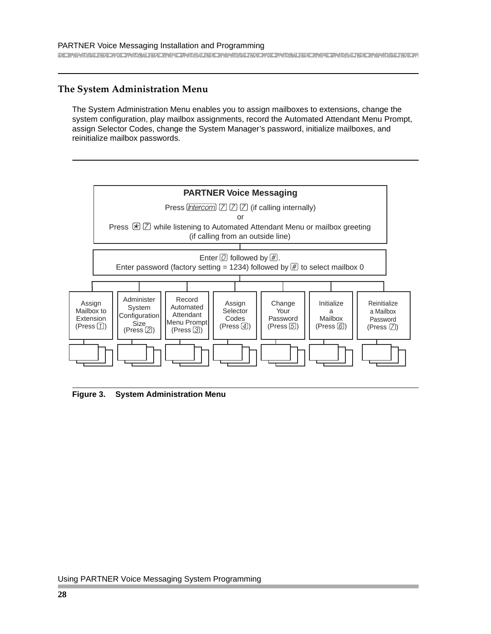# <span id="page-27-0"></span>**The System Administration Menu**

<span id="page-27-1"></span>The System Administration Menu enables you to assign mailboxes to extensions, change the system configuration, play mailbox assignments, record the Automated Attendant Menu Prompt, assign Selector Codes, change the System Manager's password, initialize mailboxes, and reinitialize mailbox passwords.



**Figure 3. System Administration Menu**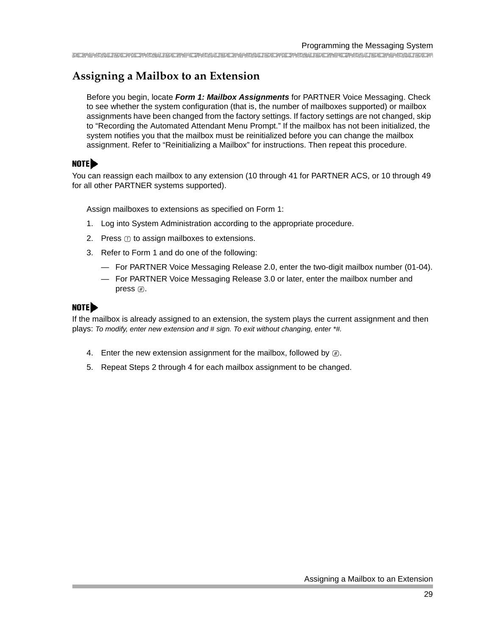.<br>그리 한 시 전 사람의 그만 하나 있는 사람들이 그만 있는 것 같은 것 같은데 그만 있는 것 같은 것 같은데, 그만 하나 사람들이 나 있는 것 같은 것 같은 것 같은데, 그만 있는 것 같은 것 같은

# <span id="page-28-1"></span><span id="page-28-0"></span>**Assigning a Mailbox to an Extension**

Before you begin, locate **Form 1: Mailbox Assignments** for PARTNER Voice Messaging. Check to see whether the system configuration (that is, the number of mailboxes supported) or mailbox assignments have been changed from the factory settings. If factory settings are not changed, skip to "Recording the Automated Attendant Menu Prompt." If the mailbox has not been initialized, the system notifies you that the mailbox must be reinitialized before you can change the mailbox assignment. Refer to "Reinitializing a Mailbox" for instructions. Then repeat this procedure.

# **NOTE**

You can reassign each mailbox to any extension (10 through 41 for PARTNER ACS, or 10 through 49 for all other PARTNER systems supported).

Assign mailboxes to extensions as specified on Form 1:

- 1. Log into System Administration according to the appropriate procedure.
- 2. Press  $\odot$  to assign mailboxes to extensions.
- 3. Refer to Form 1 and do one of the following:
	- For PARTNER Voice Messaging Release 2.0, enter the two-digit mailbox number (01-04).
	- For PARTNER Voice Messaging Release 3.0 or later, enter the mailbox number and press  $#$ .

# **NOTE**

If the mailbox is already assigned to an extension, the system plays the current assignment and then plays: To modify, enter new extension and # sign. To exit without changing, enter \*#.

- 4. Enter the new extension assignment for the mailbox, followed by  $\mathcal{F}$ .
- 5. Repeat Steps 2 through 4 for each mailbox assignment to be changed.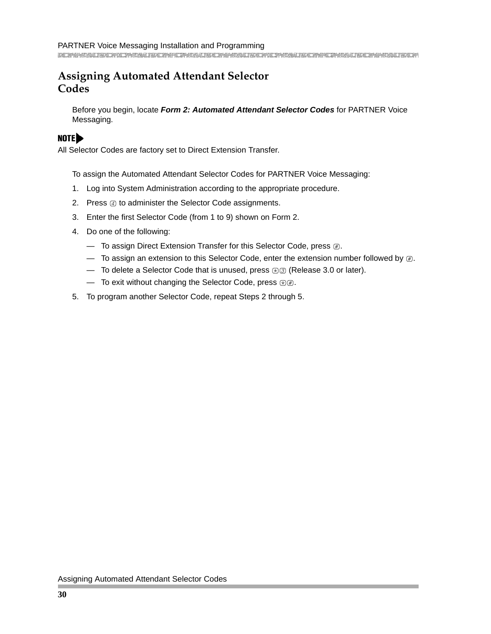<span id="page-29-1"></span>

# <span id="page-29-0"></span>**Assigning Automated Attendant Selector Codes**

Before you begin, locate **Form 2: Automated Attendant Selector Codes** for PARTNER Voice Messaging.

# <span id="page-29-2"></span>NOTE<sup>></sup>

All Selector Codes are factory set to Direct Extension Transfer.

To assign the Automated Attendant Selector Codes for PARTNER Voice Messaging:

- 1. Log into System Administration according to the appropriate procedure.
- 2. Press  $@$  to administer the Selector Code assignments.
- 3. Enter the first Selector Code (from 1 to 9) shown on Form 2.
- 4. Do one of the following:
	- $-$  To assign Direct Extension Transfer for this Selector Code, press  $\mathcal{D}$ .
	- $-$  To assign an extension to this Selector Code, enter the extension number followed by  $\mathcal{D}$ .
	- $-$  To delete a Selector Code that is unused, press  $\circledast$  (Release 3.0 or later).
	- To exit without changing the Selector Code, press  $\circledast \circledast$ .
- 5. To program another Selector Code, repeat Steps 2 through 5.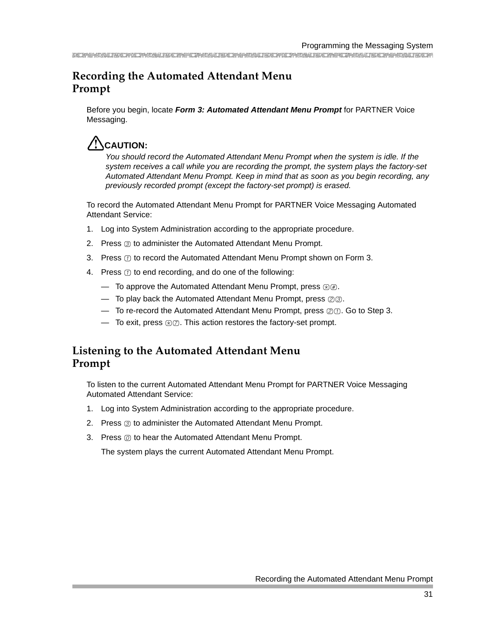#### MIRTET EN REGISTER DE STERLE EN DIE TRANSPORTE EN DE STERLE EN DIE TERTE MET EN DE STERLE TENTE EN DIE NEUEE DE

# <span id="page-30-0"></span>**Recording the Automated Attendant Menu Prompt**

Before you begin, locate **Form 3: Automated Attendant Menu Prompt** for PARTNER Voice Messaging.

# **CAUTION:**

You should record the Automated Attendant Menu Prompt when the system is idle. If the system receives a call while you are recording the prompt, the system plays the factory-set Automated Attendant Menu Prompt. Keep in mind that as soon as you begin recording, any previously recorded prompt (except the factory-set prompt) is erased.

<span id="page-30-3"></span>To record the Automated Attendant Menu Prompt for PARTNER Voice Messaging Automated Attendant Service:

- 1. Log into System Administration according to the appropriate procedure.
- 2. Press 3 to administer the Automated Attendant Menu Prompt.
- 3. Press  $\textcircled{1}$  to record the Automated Attendant Menu Prompt shown on Form 3.
- 4. Press  $\odot$  to end recording, and do one of the following:
	- To approve the Automated Attendant Menu Prompt, press  $\circledast \circledast$ .
	- To play back the Automated Attendant Menu Prompt, press 23.
	- To re-record the Automated Attendant Menu Prompt, press  $\mathcal{Q}(\mathcal{D})$ . Go to Step 3.
	- To exit, press  $\mathcal{B}(\mathbb{Z})$ . This action restores the factory-set prompt.

# <span id="page-30-2"></span><span id="page-30-1"></span>**Listening to the Automated Attendant Menu Prompt**

To listen to the current Automated Attendant Menu Prompt for PARTNER Voice Messaging Automated Attendant Service:

- 1. Log into System Administration according to the appropriate procedure.
- 2. Press 3 to administer the Automated Attendant Menu Prompt.
- 3. Press  $\oslash$  to hear the Automated Attendant Menu Prompt.

The system plays the current Automated Attendant Menu Prompt.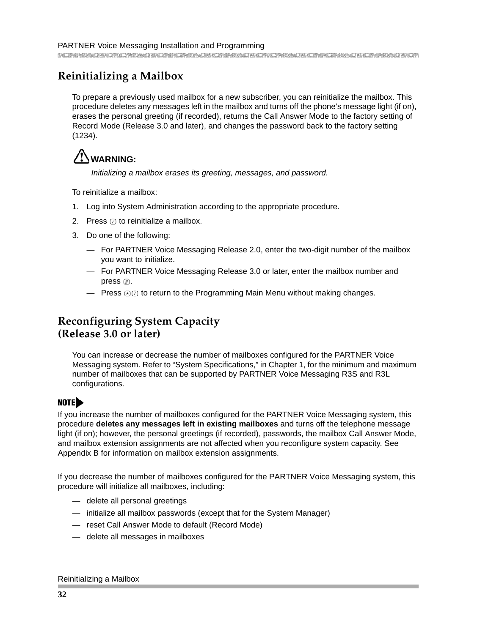# <span id="page-31-0"></span>**Reinitializing a Mailbox**

<span id="page-31-3"></span>To prepare a previously used mailbox for a new subscriber, you can reinitialize the mailbox. This procedure deletes any messages left in the mailbox and turns off the phone's message light (if on), erases the personal greeting (if recorded), returns the Call Answer Mode to the factory setting of Record Mode (Release 3.0 and later), and changes the password back to the factory setting (1234).

# **WARNING:**

<span id="page-31-2"></span>Initializing a mailbox erases its greeting, messages, and password.

To reinitialize a mailbox:

- 1. Log into System Administration according to the appropriate procedure.
- 2. Press  $\oslash$  to reinitialize a mailbox.
- 3. Do one of the following:
	- For PARTNER Voice Messaging Release 2.0, enter the two-digit number of the mailbox you want to initialize.
	- For PARTNER Voice Messaging Release 3.0 or later, enter the mailbox number and press  $#$ .
	- $-$  Press  $\otimes \oslash$  to return to the Programming Main Menu without making changes.

# <span id="page-31-4"></span><span id="page-31-1"></span>**Reconfiguring System Capacity (Release 3.0 or later)**

You can increase or decrease the number of mailboxes configured for the PARTNER Voice Messaging system. Refer to "System Specifications," in Chapter 1, for the minimum and maximum number of mailboxes that can be supported by PARTNER Voice Messaging R3S and R3L configurations.

# **NOTE**

If you increase the number of mailboxes configured for the PARTNER Voice Messaging system, this procedure **deletes any messages left in existing mailboxes** and turns off the telephone message light (if on); however, the personal greetings (if recorded), passwords, the mailbox Call Answer Mode, and mailbox extension assignments are not affected when you reconfigure system capacity. See Appendix B for information on mailbox extension assignments.

If you decrease the number of mailboxes configured for the PARTNER Voice Messaging system, this procedure will initialize all mailboxes, including:

- delete all personal greetings
- initialize all mailbox passwords (except that for the System Manager)
- reset Call Answer Mode to default (Record Mode)
- delete all messages in mailboxes

Reinitializing a Mailbox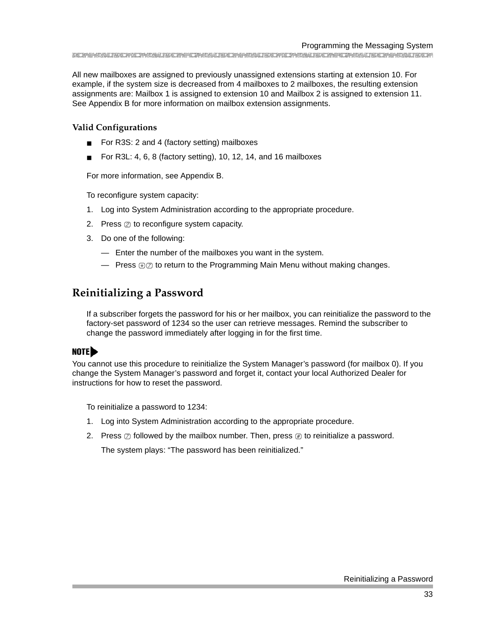M MART BROP MARTHE MART PROFILE THE STATE OF THE STATE OF THE STATE OF THE MART PROPERTY OF THE STATE OF THE STATE OF THE STATE OF THE STATE OF THE STATE OF THE STATE OF THE STATE OF THE STATE OF THE STATE OF THE STATE OF

All new mailboxes are assigned to previously unassigned extensions starting at extension 10. For example, if the system size is decreased from 4 mailboxes to 2 mailboxes, the resulting extension assignments are: Mailbox 1 is assigned to extension 10 and Mailbox 2 is assigned to extension 11. See Appendix B for more information on mailbox extension assignments.

#### <span id="page-32-5"></span><span id="page-32-0"></span>**Valid Configurations**

- For R3S: 2 and 4 (factory setting) mailboxes
- For R3L: 4, 6, 8 (factory setting), 10, 12, 14, and 16 mailboxes

For more information, see Appendix B.

To reconfigure system capacity:

- 1. Log into System Administration according to the appropriate procedure.
- 2. Press 2 to reconfigure system capacity.
- 3. Do one of the following:
	- Enter the number of the mailboxes you want in the system.
	- Press  $\mathcal{D}$  to return to the Programming Main Menu without making changes.

# <span id="page-32-1"></span>**Reinitializing a Password**

<span id="page-32-3"></span><span id="page-32-2"></span>If a subscriber forgets the password for his or her mailbox, you can reinitialize the password to the factory-set password of 1234 so the user can retrieve messages. Remind the subscriber to change the password immediately after logging in for the first time.

# **NOTED**

You cannot use this procedure to reinitialize the System Manager's password (for mailbox 0). If you change the System Manager's password and forget it, contact your local Authorized Dealer for instructions for how to reset the password.

<span id="page-32-4"></span>To reinitialize a password to 1234:

- 1. Log into System Administration according to the appropriate procedure.
- 2. Press  $\oslash$  followed by the mailbox number. Then, press  $\oslash$  to reinitialize a password.

The system plays: "The password has been reinitialized."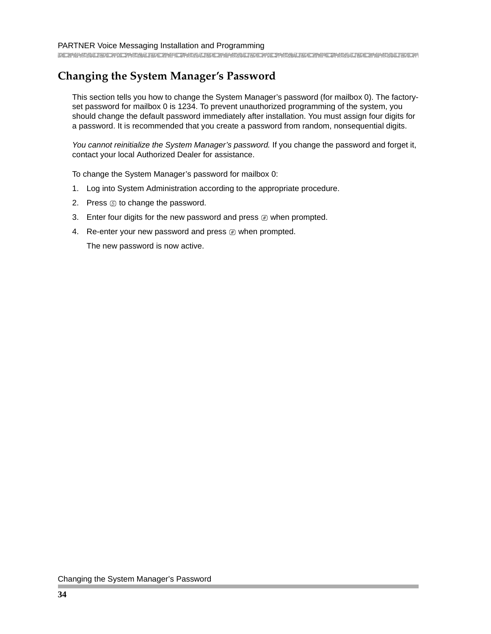# <span id="page-33-2"></span><span id="page-33-0"></span>**Changing the System Manager's Password**

<span id="page-33-1"></span>This section tells you how to change the System Manager's password (for mailbox 0). The factoryset password for mailbox 0 is 1234. To prevent unauthorized programming of the system, you should change the default password immediately after installation. You must assign four digits for a password. It is recommended that you create a password from random, nonsequential digits.

You cannot reinitialize the System Manager's password. If you change the password and forget it, contact your local Authorized Dealer for assistance.

To change the System Manager's password for mailbox 0:

- 1. Log into System Administration according to the appropriate procedure.
- 2. Press  $\square$  to change the password.
- 3. Enter four digits for the new password and press  $\mathcal F$  when prompted.
- 4. Re-enter your new password and press  $\mathcal{F}$  when prompted.

The new password is now active.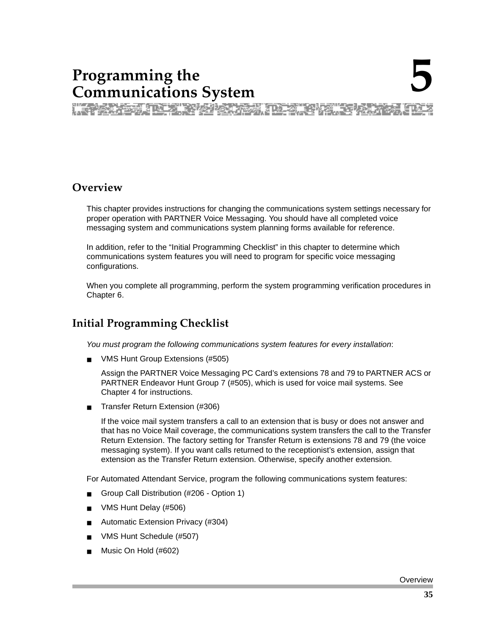# <span id="page-34-0"></span>**Programming the**  Programming the<br>Communications System<br> **FRAME TREATER TO BE TREATER**

# <span id="page-34-1"></span>**Overview**

This chapter provides instructions for changing the communications system settings necessary for proper operation with PARTNER Voice Messaging. You should have all completed voice messaging system and communications system planning forms available for reference.

In addition, refer to the "Initial Programming Checklist" in this chapter to determine which communications system features you will need to program for specific voice messaging configurations.

When you complete all programming, perform the system programming verification procedures in Chapter 6.

# <span id="page-34-2"></span>**Initial Programming Checklist**

You must program the following communications system features for every installation:

<span id="page-34-5"></span>VMS Hunt Group Extensions (#505)

Assign the PARTNER Voice Messaging PC Card's extensions 78 and 79 to PARTNER ACS or PARTNER Endeavor Hunt Group 7 (#505), which is used for voice mail systems. See Chapter 4 for instructions.

<span id="page-34-4"></span>■ Transfer Return Extension (#306)

If the voice mail system transfers a call to an extension that is busy or does not answer and that has no Voice Mail coverage, the communications system transfers the call to the Transfer Return Extension. The factory setting for Transfer Return is extensions 78 and 79 (the voice messaging system). If you want calls returned to the receptionist's extension, assign that extension as the Transfer Return extension. Otherwise, specify another extension.

<span id="page-34-3"></span>For Automated Attendant Service, program the following communications system features:

- Group Call Distribution (#206 Option 1)
- VMS Hunt Delay (#506)
- Automatic Extension Privacy (#304)
- VMS Hunt Schedule (#507)
- Music On Hold (#602)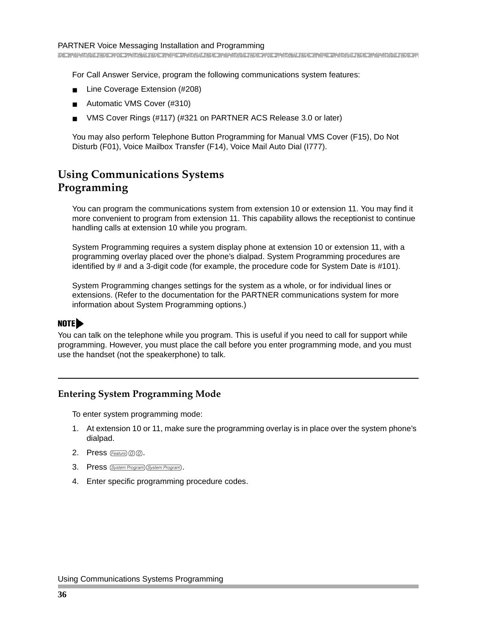<span id="page-35-2"></span>For Call Answer Service, program the following communications system features:

- Line Coverage Extension (#208)
- Automatic VMS Cover (#310)
- VMS Cover Rings (#117) (#321 on PARTNER ACS Release 3.0 or later)

You may also perform Telephone Button Programming for Manual VMS Cover (F15), Do Not Disturb (F01), Voice Mailbox Transfer (F14), Voice Mail Auto Dial (I777).

# <span id="page-35-3"></span><span id="page-35-0"></span>**Using Communications Systems Programming**

You can program the communications system from extension 10 or extension 11. You may find it more convenient to program from extension 11. This capability allows the receptionist to continue handling calls at extension 10 while you program.

System Programming requires a system display phone at extension 10 or extension 11, with a programming overlay placed over the phone's dialpad. System Programming procedures are identified by # and a 3-digit code (for example, the procedure code for System Date is #101).

System Programming changes settings for the system as a whole, or for individual lines or extensions. (Refer to the documentation for the PARTNER communications system for more information about System Programming options.)

# **NOTE**

You can talk on the telephone while you program. This is useful if you need to call for support while programming. However, you must place the call before you enter programming mode, and you must use the handset (not the speakerphone) to talk.

# <span id="page-35-4"></span><span id="page-35-1"></span>**Entering System Programming Mode**

To enter system programming mode:

- 1. At extension 10 or 11, make sure the programming overlay is in place over the system phone's dialpad.
- 2. Press Feature 00.
- 3. Press (System Program) (System Program).
- 4. Enter specific programming procedure codes.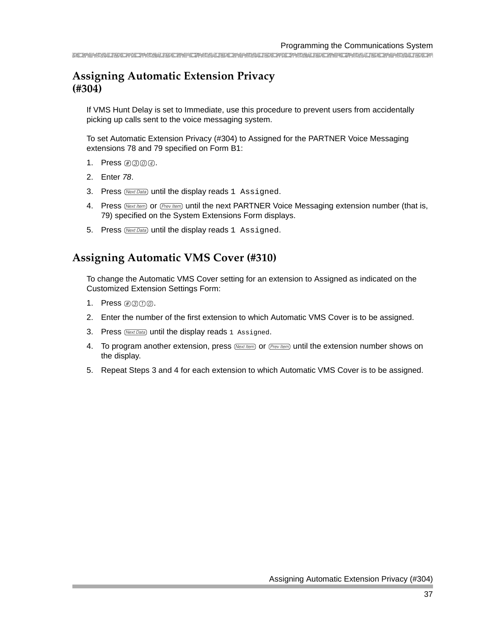.<br>그리 한 시 전 사람의 그만 하나 있는 사람들이 그만 있는 것 같은 것 같은데 그만 있는 것 같은 것 같은데, 그만 하나 사람들이 나 있는 것 같은 것 같은 것 같은데, 그만 있는 것 같은 것 같은

# <span id="page-36-0"></span>**Assigning Automatic Extension Privacy (#304)**

If VMS Hunt Delay is set to Immediate, use this procedure to prevent users from accidentally picking up calls sent to the voice messaging system.

<span id="page-36-2"></span>To set Automatic Extension Privacy (#304) to Assigned for the PARTNER Voice Messaging extensions 78 and 79 specified on Form B1:

- 1. Press  $\textcircled{H}3004$ .
- 2. Enter 78.
- 3. Press  $(NextData)$  until the display reads 1 Assigned.
- 4. Press (Next Item) or (Prev Item) until the next PARTNER Voice Messaging extension number (that is, 79) specified on the System Extensions Form displays.
- 5. Press  $(NextData)$  until the display reads 1 Assigned.

# <span id="page-36-1"></span>**Assigning Automatic VMS Cover (#310)**

<span id="page-36-3"></span>To change the Automatic VMS Cover setting for an extension to Assigned as indicated on the Customized Extension Settings Form:

- 1. Press #300.
- 2. Enter the number of the first extension to which Automatic VMS Cover is to be assigned.
- 3. Press  $(NextData)$  until the display reads 1 Assigned.
- 4. To program another extension, press  $\frac{N\text{ext item}}{N}$  or  $\frac{P\text{over item}}{P\text{over min}}$  until the extension number shows on the display.
- 5. Repeat Steps 3 and 4 for each extension to which Automatic VMS Cover is to be assigned.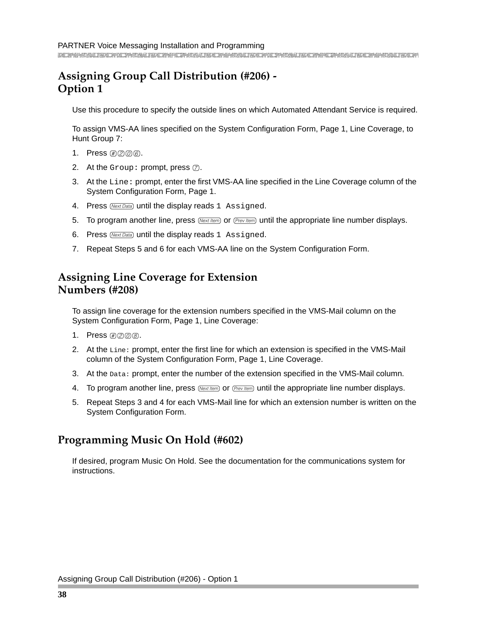# <span id="page-37-0"></span>**Assigning Group Call Distribution (#206) - Option 1**

<span id="page-37-3"></span>Use this procedure to specify the outside lines on which Automated Attendant Service is required.

To assign VMS-AA lines specified on the System Configuration Form, Page 1, Line Coverage, to Hunt Group 7:

- 1. Press #206.
- 2. At the Group: prompt, press  $\oslash$ .
- 3. At the Line: prompt, enter the first VMS-AA line specified in the Line Coverage column of the System Configuration Form, Page 1.
- 4. Press (Next Data) until the display reads 1 Assigned.
- 5. To program another line, press  $\frac{(\text{Next item})}{(\text{Per}(text) \text{ term})}$  until the appropriate line number displays.
- 6. Press  $(NextData)$  until the display reads 1 Assigned.
- 7. Repeat Steps 5 and 6 for each VMS-AA line on the System Configuration Form.

# <span id="page-37-1"></span>**Assigning Line Coverage for Extension Numbers (#208)**

To assign line coverage for the extension numbers specified in the VMS-Mail column on the System Configuration Form, Page 1, Line Coverage:

- 1. Press #2008.
- 2. At the Line: prompt, enter the first line for which an extension is specified in the VMS-Mail column of the System Configuration Form, Page 1, Line Coverage.
- 3. At the Data: prompt, enter the number of the extension specified in the VMS-Mail column.
- 4. To program another line, press  $\frac{N\text{d}x\text{ (Hem)}}{N\text{d}x\text{ (Hem)}}$  until the appropriate line number displays.
- 5. Repeat Steps 3 and 4 for each VMS-Mail line for which an extension number is written on the System Configuration Form.

# <span id="page-37-2"></span>**Programming Music On Hold (#602)**

<span id="page-37-4"></span>If desired, program Music On Hold. See the documentation for the communications system for instructions.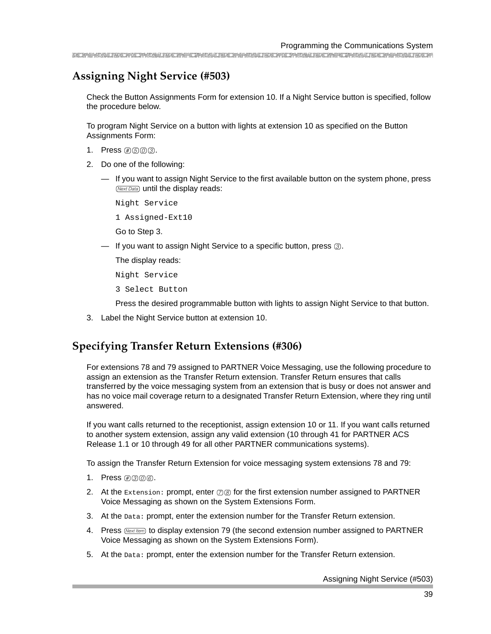.<br>그리 한 시 전 사람의 그만 하나 있는 사람들이 그만 있는 것 같은 것 같은데 그만 있는 것 같은 것 같은데, 그만 하나 사람들이 나 있는 것 같은 것 같은 것 같은데, 그만 있는 것 같은 것 같은

# <span id="page-38-0"></span>**Assigning Night Service (#503)**

<span id="page-38-2"></span>Check the Button Assignments Form for extension 10. If a Night Service button is specified, follow the procedure below.

To program Night Service on a button with lights at extension 10 as specified on the Button Assignments Form:

- 1. Press  $#5003$ .
- 2. Do one of the following:
	- If you want to assign Night Service to the first available button on the system phone, press  $(Next Data)$  until the display reads:
		- Night Service
		- 1 Assigned-Ext10
		- Go to Step 3.
	- $-$  If you want to assign Night Service to a specific button, press  $\circledA$ .

The display reads:

Night Service

3 Select Button

Press the desired programmable button with lights to assign Night Service to that button.

3. Label the Night Service button at extension 10.

# <span id="page-38-1"></span>**Specifying Transfer Return Extensions (#306)**

For extensions 78 and 79 assigned to PARTNER Voice Messaging, use the following procedure to assign an extension as the Transfer Return extension. Transfer Return ensures that calls transferred by the voice messaging system from an extension that is busy or does not answer and has no voice mail coverage return to a designated Transfer Return Extension, where they ring until answered.

If you want calls returned to the receptionist, assign extension 10 or 11. If you want calls returned to another system extension, assign any valid extension (10 through 41 for PARTNER ACS Release 1.1 or 10 through 49 for all other PARTNER communications systems).

<span id="page-38-3"></span>To assign the Transfer Return Extension for voice messaging system extensions 78 and 79:

- 1. Press #3006.
- 2. At the  $ext{extension: prompt, enter } \oslash \oslash$  for the first extension number assigned to PARTNER Voice Messaging as shown on the System Extensions Form.
- 3. At the Data: prompt, enter the extension number for the Transfer Return extension.
- 4. Press  $(\overline{Next item})$  to display extension 79 (the second extension number assigned to PARTNER Voice Messaging as shown on the System Extensions Form).
- 5. At the Data: prompt, enter the extension number for the Transfer Return extension.

Assigning Night Service (#503)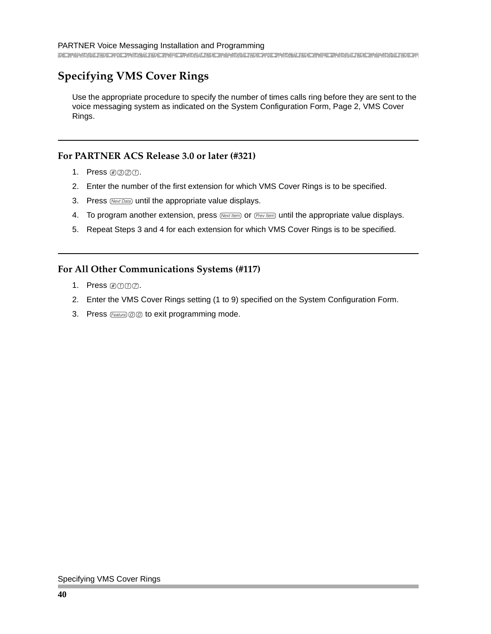# <span id="page-39-3"></span><span id="page-39-0"></span>**Specifying VMS Cover Rings**

Use the appropriate procedure to specify the number of times calls ring before they are sent to the voice messaging system as indicated on the System Configuration Form, Page 2, VMS Cover Rings.

# <span id="page-39-1"></span>**For PARTNER ACS Release 3.0 or later (#321)**

- 1. Press #320.
- 2. Enter the number of the first extension for which VMS Cover Rings is to be specified.
- 3. Press  $(NextData)$  until the appropriate value displays.
- 4. To program another extension, press  $\overline{N_{\text{ext-Item}}}$  or  $\overline{(\overline{Prov-Item})}$  until the appropriate value displays.
- 5. Repeat Steps 3 and 4 for each extension for which VMS Cover Rings is to be specified.

# <span id="page-39-2"></span>**For All Other Communications Systems (#117)**

- 1. Press  $#1000$ .
- 2. Enter the VMS Cover Rings setting (1 to 9) specified on the System Configuration Form.
- 3. Press Feature *in* to exit programming mode.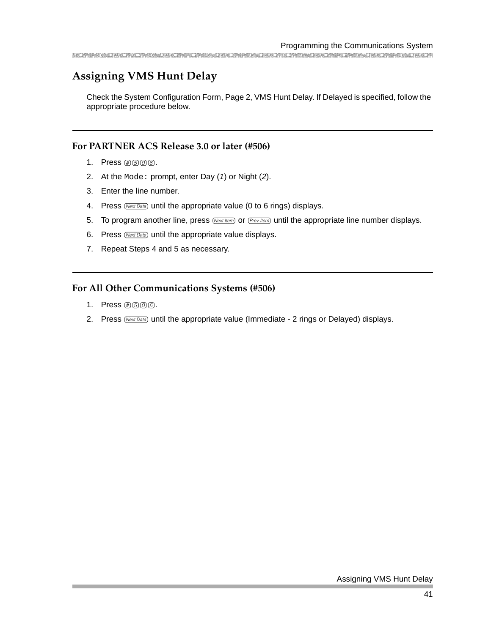.<br>그리 한 시 전 사람의 그만 하나 있는 사람들이 그만 있는 것 같은 것 같은데 그만 있는 것 같은 것 같은데, 그만 하나 사람들이 나 있는 것 같은 것 같은 것 같은데, 그만 있는 것 같은 것 같은

# <span id="page-40-0"></span>**Assigning VMS Hunt Delay**

<span id="page-40-3"></span>Check the System Configuration Form, Page 2, VMS Hunt Delay. If Delayed is specified, follow the appropriate procedure below.

# <span id="page-40-1"></span>**For PARTNER ACS Release 3.0 or later (#506)**

- 1. Press  $\mathcal{F}(\mathcal{F})$  5006.
- 2. At the  $Mode: prompt$ , enter Day  $(1)$  or Night  $(2)$ .
- 3. Enter the line number.
- 4. Press (Next Data) until the appropriate value (0 to 6 rings) displays.
- 5. To program another line, press **Mext Item)** or **(Prev Item)** until the appropriate line number displays.
- 6. Press  $N_{\text{ext}}$  Data) until the appropriate value displays.
- 7. Repeat Steps 4 and 5 as necessary.

# <span id="page-40-2"></span>**For All Other Communications Systems (#506)**

- 1. Press  $#5006$ .
- 2. Press  $N_{\text{extData}}$  until the appropriate value (Immediate 2 rings or Delayed) displays.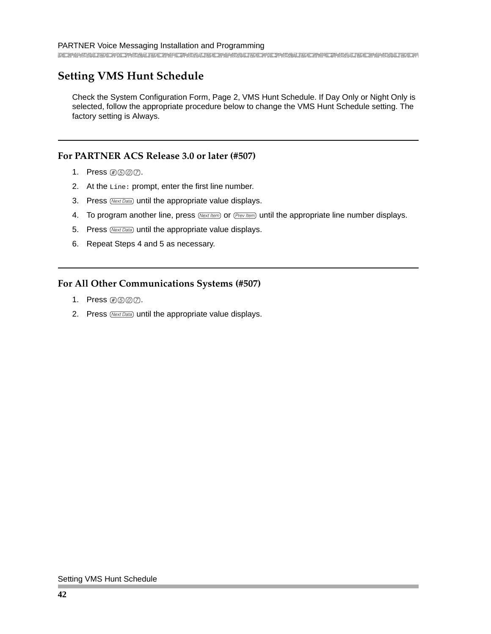# <span id="page-41-0"></span>**Setting VMS Hunt Schedule**

<span id="page-41-3"></span>Check the System Configuration Form, Page 2, VMS Hunt Schedule. If Day Only or Night Only is selected, follow the appropriate procedure below to change the VMS Hunt Schedule setting. The factory setting is Always.

# <span id="page-41-1"></span>**For PARTNER ACS Release 3.0 or later (#507)**

- 1. Press  $#5007$ .
- 2. At the Line: prompt, enter the first line number.
- 3. Press  $(Next Data)$  until the appropriate value displays.
- 4. To program another line, press  $\frac{N\text{ext} \text{Item}}{N\text{ event} \text{ term}}$  or  $\frac{P\text{rev} \text{Item}}{N\text{ event}}$  until the appropriate line number displays.
- 5. Press  $N$  *Next Data*) until the appropriate value displays.
- 6. Repeat Steps 4 and 5 as necessary.

# <span id="page-41-2"></span>**For All Other Communications Systems (#507)**

- 1. Press  $\mathcal{F}(\mathcal{F})$  (5)  $\mathcal{F}(\mathcal{F})$ .
- 2. Press  $N$ ext Data) until the appropriate value displays.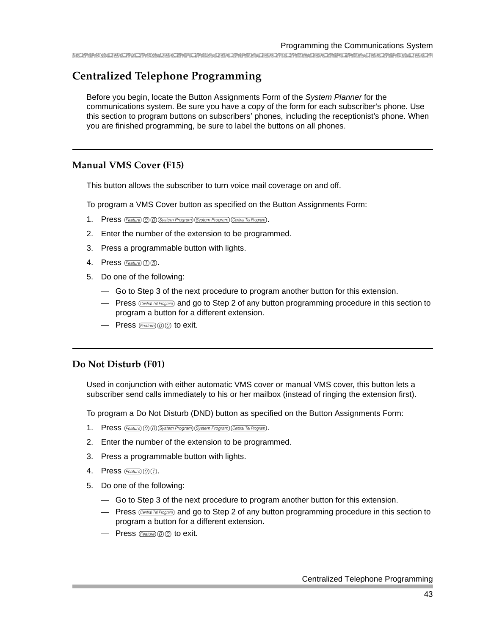<span id="page-42-6"></span>.<br>그리 한 시 전 사람의 그만 하나 있는 사람들이 그만 있는 것 같은 것 같은데 그만 있는 것 같은 것 같은데, 그만 하나 사람들이 나 있는 것 같은 것 같은 것 같은데, 그만 있는 것 같은 것 같은

# <span id="page-42-0"></span>**Centralized Telephone Programming**

<span id="page-42-4"></span>Before you begin, locate the Button Assignments Form of the System Planner for the communications system. Be sure you have a copy of the form for each subscriber's phone. Use this section to program buttons on subscribers' phones, including the receptionist's phone. When you are finished programming, be sure to label the buttons on all phones.

# <span id="page-42-1"></span>**Manual VMS Cover (F15)**

<span id="page-42-5"></span>This button allows the subscriber to turn voice mail coverage on and off.

To program a VMS Cover button as specified on the Button Assignments Form:

- 1. Press  $[Feature]$  (0) (0) (System Program) (System Program) (Central Tel Program).
- 2. Enter the number of the extension to be programmed.
- 3. Press a programmable button with lights.
- 4. Press  $(Feature)$  (1)  $(5)$ .
- 5. Do one of the following:
	- Go to Step 3 of the next procedure to program another button for this extension.
	- Press Contral Tel Program) and go to Step 2 of any button programming procedure in this section to program a button for a different extension.
	- $-$  Press  $F_{\text{feature}}$  @ to exit.

#### <span id="page-42-7"></span><span id="page-42-2"></span>**Do Not Disturb (F01)**

Used in conjunction with either automatic VMS cover or manual VMS cover, this button lets a subscriber send calls immediately to his or her mailbox (instead of ringing the extension first).

<span id="page-42-3"></span>To program a Do Not Disturb (DND) button as specified on the Button Assignments Form:

- 1. Press  $[Feature]$  ( O ( System Program System Program Central Tel Program ).
- 2. Enter the number of the extension to be programmed.
- 3. Press a programmable button with lights.
- 4. Press  $(Feature)$   $(0)$   $(1)$ .
- 5. Do one of the following:
	- Go to Step 3 of the next procedure to program another button for this extension.
	- Press  $\overline{C^{entail}$  Fel Program) and go to Step 2 of any button programming procedure in this section to program a button for a different extension.
	- $\longrightarrow$  Press  $(Feature)$  (0) to exit.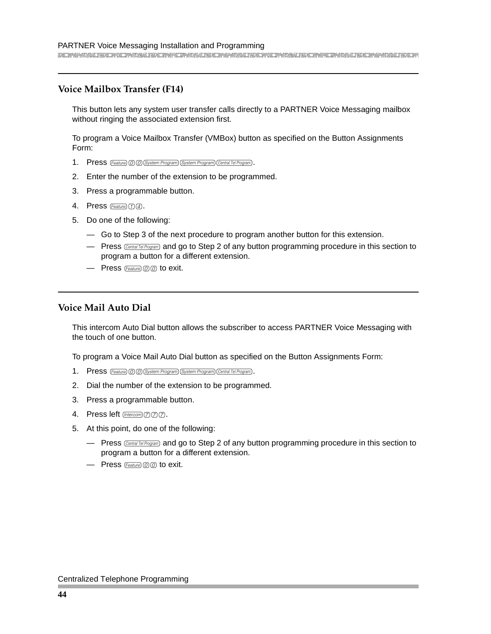.<br>그리 한 시 전 사람의 그만 하나 있는 사람들이 그만 있는 것 같은 것 같은데 그만 있는 것 같은 것 같은데, 그만 하나 사람들이 나 있는 것 같은 것 같은 것 같은데, 그만 있는 것 같은 것 같은

#### <span id="page-43-7"></span><span id="page-43-0"></span>**Voice Mailbox Transfer (F14)**

This button lets any system user transfer calls directly to a PARTNER Voice Messaging mailbox without ringing the associated extension first.

<span id="page-43-5"></span><span id="page-43-3"></span>To program a Voice Mailbox Transfer (VMBox) button as specified on the Button Assignments Form:

- 1. Press  $[Feature]$  @ **@** System Program System Program Central Tel Program .
- 2. Enter the number of the extension to be programmed.
- 3. Press a programmable button.
- 4. Press  $(Teature)$  (1)  $(4)$ .
- 5. Do one of the following:
	- Go to Step 3 of the next procedure to program another button for this extension.
	- Press Central Tel Program) and go to Step 2 of any button programming procedure in this section to program a button for a different extension.
	- Press Feature @ @ to exit.

#### <span id="page-43-6"></span><span id="page-43-1"></span>**Voice Mail Auto Dial**

<span id="page-43-2"></span>This intercom Auto Dial button allows the subscriber to access PARTNER Voice Messaging with the touch of one button.

<span id="page-43-4"></span>To program a Voice Mail Auto Dial button as specified on the Button Assignments Form:

- 1. Press  $[Feature]$  (0 (0) (System Program) (System Program) (Central Tel Program).
- 2. Dial the number of the extension to be programmed.
- 3. Press a programmable button.
- 4. Press left (Intercom) 700.
- 5. At this point, do one of the following:
	- Press Central Tel Program) and go to Step 2 of any button programming procedure in this section to program a button for a different extension.
	- $\longrightarrow$  Press (Feature)  $(0, 0)$  to exit.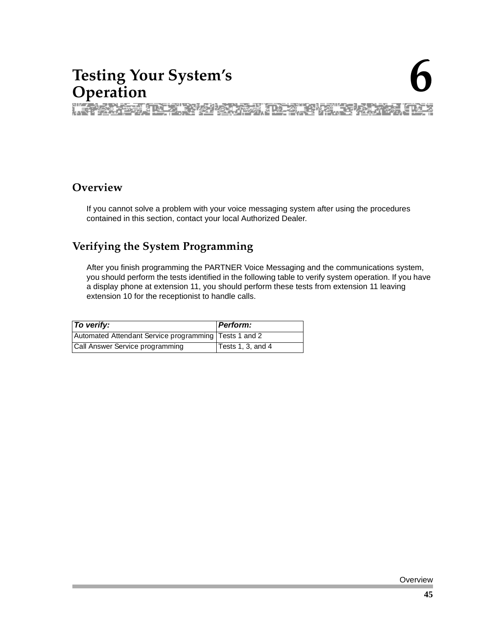# <span id="page-44-0"></span>**Testing Your System's Operation 6**

# <span id="page-44-1"></span>**Overview**

<span id="page-44-4"></span>If you cannot solve a problem with your voice messaging system after using the procedures contained in this section, contact your local Authorized Dealer.

# <span id="page-44-2"></span>**Verifying the System Programming**

<span id="page-44-3"></span>After you finish programming the PARTNER Voice Messaging and the communications system, you should perform the tests identified in the following table to verify system operation. If you have a display phone at extension 11, you should perform these tests from extension 11 leaving extension 10 for the receptionist to handle calls.

| To verify:                                              | Perform:          |
|---------------------------------------------------------|-------------------|
| Automated Attendant Service programming   Tests 1 and 2 |                   |
| Call Answer Service programming                         | Tests 1, 3, and 4 |

Overview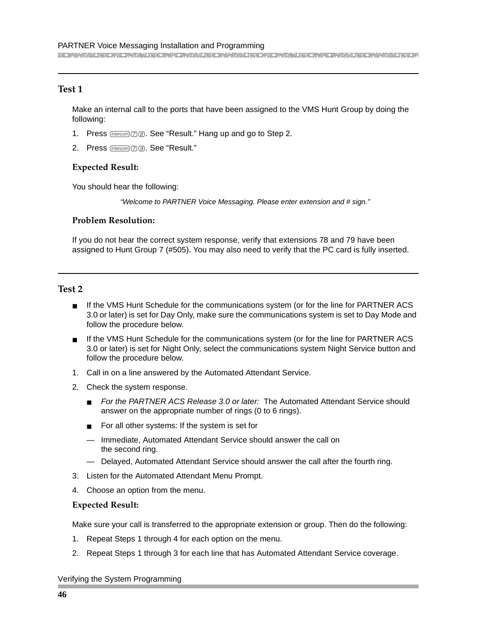#### <span id="page-45-0"></span>**Test 1**

Make an internal call to the ports that have been assigned to the VMS Hunt Group by doing the following:

- 1. Press (*Intercom*) (7) (8). See "Result." Hang up and go to Step 2.
- 2. Press (Intercom) [7] (9). See "Result."

#### **Expected Result:**

You should hear the following:

"Welcome to PARTNER Voice Messaging. Please enter extension and # sign."

#### **Problem Resolution:**

If you do not hear the correct system response, verify that extensions 78 and 79 have been assigned to Hunt Group 7 (#505). You may also need to verify that the PC card is fully inserted.

#### <span id="page-45-1"></span>**Test 2**

- If the VMS Hunt Schedule for the communications system (or for the line for PARTNER ACS 3.0 or later) is set for Day Only, make sure the communications system is set to Day Mode and follow the procedure below.
- If the VMS Hunt Schedule for the communications system (or for the line for PARTNER ACS 3.0 or later) is set for Night Only, select the communications system Night Service button and follow the procedure below.
- 1. Call in on a line answered by the Automated Attendant Service.
- 2. Check the system response.
	- For the PARTNER ACS Release 3.0 or later: The Automated Attendant Service should answer on the appropriate number of rings (0 to 6 rings).
	- For all other systems: If the system is set for
	- Immediate, Automated Attendant Service should answer the call on the second ring.
	- Delayed, Automated Attendant Service should answer the call after the fourth ring.
- 3. Listen for the Automated Attendant Menu Prompt.
- 4. Choose an option from the menu.

#### **Expected Result:**

Make sure your call is transferred to the appropriate extension or group. Then do the following:

- 1. Repeat Steps 1 through 4 for each option on the menu.
- 2. Repeat Steps 1 through 3 for each line that has Automated Attendant Service coverage.

Verifying the System Programming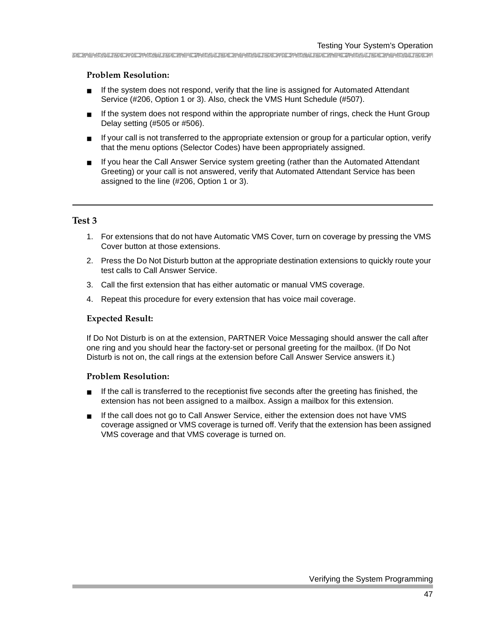.<br>그리고 있는 사람의 그만 하나 있는 사람들이 그만 있는 것 같은 것이다. 그만 있는 것 같은 사람이 있는 것이 있는 것이라고 그만 있는 것이 없는 것이 있는 것이 있는 것이 있는 것이 있는 것이 있는<br>그리고 있는 사람들은 그만 있는 것이 있는 것이 있는 것이 있는 것이 있는 것이 있는 것이 있는 것이 있는 것이 있는 것이 있는 것이 있는 것이 있는 것이 있는 것이 있는 것이 있는 것이

#### **Problem Resolution:**

- If the system does not respond, verify that the line is assigned for Automated Attendant Service (#206, Option 1 or 3). Also, check the VMS Hunt Schedule (#507).
- If the system does not respond within the appropriate number of rings, check the Hunt Group Delay setting (#505 or #506).
- If your call is not transferred to the appropriate extension or group for a particular option, verify that the menu options (Selector Codes) have been appropriately assigned.
- If you hear the Call Answer Service system greeting (rather than the Automated Attendant Greeting) or your call is not answered, verify that Automated Attendant Service has been assigned to the line (#206, Option 1 or 3).

#### <span id="page-46-0"></span>**Test 3**

- 1. For extensions that do not have Automatic VMS Cover, turn on coverage by pressing the VMS Cover button at those extensions.
- 2. Press the Do Not Disturb button at the appropriate destination extensions to quickly route your test calls to Call Answer Service.
- 3. Call the first extension that has either automatic or manual VMS coverage.
- 4. Repeat this procedure for every extension that has voice mail coverage.

#### **Expected Result:**

If Do Not Disturb is on at the extension, PARTNER Voice Messaging should answer the call after one ring and you should hear the factory-set or personal greeting for the mailbox. (If Do Not Disturb is not on, the call rings at the extension before Call Answer Service answers it.)

#### **Problem Resolution:**

- If the call is transferred to the receptionist five seconds after the greeting has finished, the extension has not been assigned to a mailbox. Assign a mailbox for this extension.
- If the call does not go to Call Answer Service, either the extension does not have VMS coverage assigned or VMS coverage is turned off. Verify that the extension has been assigned VMS coverage and that VMS coverage is turned on.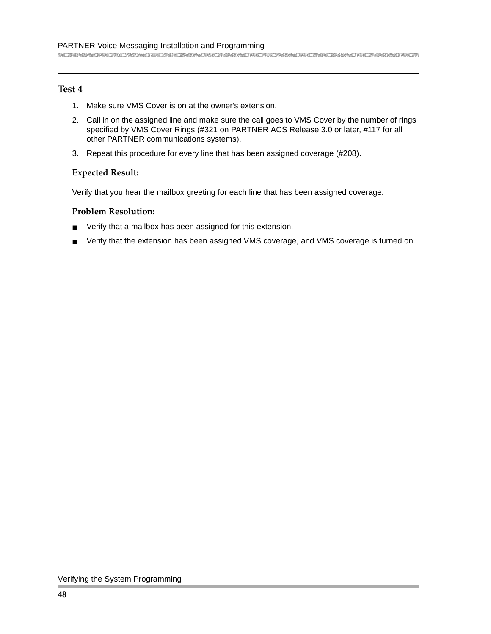#### <span id="page-47-0"></span>**Test 4**

- 1. Make sure VMS Cover is on at the owner's extension.
- 2. Call in on the assigned line and make sure the call goes to VMS Cover by the number of rings specified by VMS Cover Rings (#321 on PARTNER ACS Release 3.0 or later, #117 for all other PARTNER communications systems).
- 3. Repeat this procedure for every line that has been assigned coverage (#208).

#### **Expected Result:**

Verify that you hear the mailbox greeting for each line that has been assigned coverage.

#### **Problem Resolution:**

- Verify that a mailbox has been assigned for this extension.
- Verify that the extension has been assigned VMS coverage, and VMS coverage is turned on.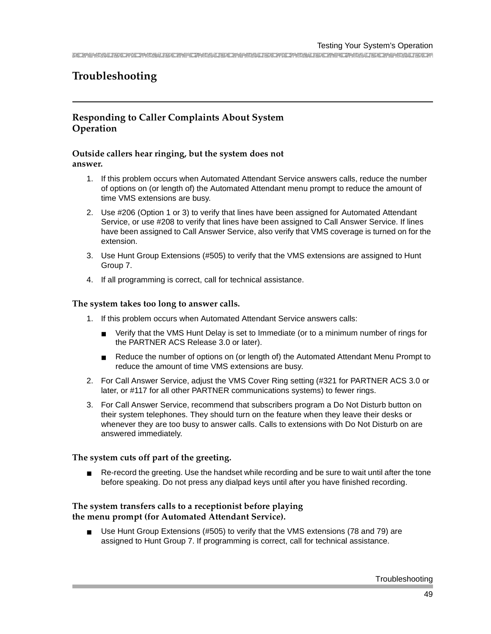<span id="page-48-6"></span>MA MARKA TERTIFIKI PATISI KOLORI TERTIFIKI PARA TERTIFIKI TERTIFIKI TERTIFIKI TERTIFIKI MANTIFIKI TERTIFIKI TERTIFIKI TERTIFIKI TERTIFIKI TERTIFIKI TERTIFIKI TERTIFIKI TERTIFIKI TERTIFIKI TERTIFIKI TERTIFIKI TERTIFIKI TERT

# <span id="page-48-0"></span>**Troubleshooting**

# <span id="page-48-1"></span>**Responding to Caller Complaints About System Operation**

#### <span id="page-48-2"></span>**Outside callers hear ringing, but the system does not answer.**

- 1. If this problem occurs when Automated Attendant Service answers calls, reduce the number of options on (or length of) the Automated Attendant menu prompt to reduce the amount of time VMS extensions are busy.
- 2. Use #206 (Option 1 or 3) to verify that lines have been assigned for Automated Attendant Service, or use #208 to verify that lines have been assigned to Call Answer Service. If lines have been assigned to Call Answer Service, also verify that VMS coverage is turned on for the extension.
- 3. Use Hunt Group Extensions (#505) to verify that the VMS extensions are assigned to Hunt Group 7.
- 4. If all programming is correct, call for technical assistance.

#### <span id="page-48-3"></span>**The system takes too long to answer calls.**

- 1. If this problem occurs when Automated Attendant Service answers calls:
	- Verify that the VMS Hunt Delay is set to Immediate (or to a minimum number of rings for the PARTNER ACS Release 3.0 or later).
	- Reduce the number of options on (or length of) the Automated Attendant Menu Prompt to reduce the amount of time VMS extensions are busy.
- 2. For Call Answer Service, adjust the VMS Cover Ring setting (#321 for PARTNER ACS 3.0 or later, or #117 for all other PARTNER communications systems) to fewer rings.
- 3. For Call Answer Service, recommend that subscribers program a Do Not Disturb button on their system telephones. They should turn on the feature when they leave their desks or whenever they are too busy to answer calls. Calls to extensions with Do Not Disturb on are answered immediately.

#### <span id="page-48-4"></span>**The system cuts off part of the greeting.**

■ Re-record the greeting. Use the handset while recording and be sure to wait until after the tone before speaking. Do not press any dialpad keys until after you have finished recording.

#### <span id="page-48-5"></span>**The system transfers calls to a receptionist before playing the menu prompt (for Automated Attendant Service).**

■ Use Hunt Group Extensions (#505) to verify that the VMS extensions (78 and 79) are assigned to Hunt Group 7. If programming is correct, call for technical assistance.

Troubleshooting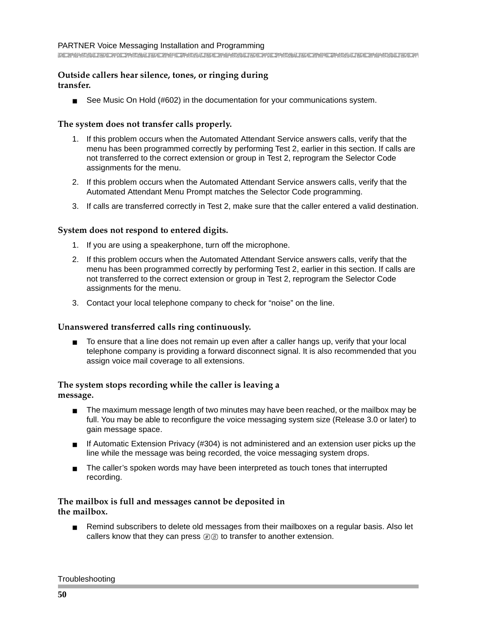#### <span id="page-49-0"></span>**Outside callers hear silence, tones, or ringing during transfer.**

■ See Music On Hold (#602) in the documentation for your communications system.

#### <span id="page-49-1"></span>**The system does not transfer calls properly.**

- 1. If this problem occurs when the Automated Attendant Service answers calls, verify that the menu has been programmed correctly by performing Test 2, earlier in this section. If calls are not transferred to the correct extension or group in Test 2, reprogram the Selector Code assignments for the menu.
- 2. If this problem occurs when the Automated Attendant Service answers calls, verify that the Automated Attendant Menu Prompt matches the Selector Code programming.
- 3. If calls are transferred correctly in Test 2, make sure that the caller entered a valid destination.

#### <span id="page-49-2"></span>**System does not respond to entered digits.**

- 1. If you are using a speakerphone, turn off the microphone.
- 2. If this problem occurs when the Automated Attendant Service answers calls, verify that the menu has been programmed correctly by performing Test 2, earlier in this section. If calls are not transferred to the correct extension or group in Test 2, reprogram the Selector Code assignments for the menu.
- 3. Contact your local telephone company to check for "noise" on the line.

#### <span id="page-49-3"></span>**Unanswered transferred calls ring continuously.**

■ To ensure that a line does not remain up even after a caller hangs up, verify that your local telephone company is providing a forward disconnect signal. It is also recommended that you assign voice mail coverage to all extensions.

#### <span id="page-49-4"></span>**The system stops recording while the caller is leaving a message.**

- The maximum message length of two minutes may have been reached, or the mailbox may be full. You may be able to reconfigure the voice messaging system size (Release 3.0 or later) to gain message space.
- If Automatic Extension Privacy (#304) is not administered and an extension user picks up the line while the message was being recorded, the voice messaging system drops.
- The caller's spoken words may have been interpreted as touch tones that interrupted recording.

#### <span id="page-49-5"></span>**The mailbox is full and messages cannot be deposited in the mailbox.**

Remind subscribers to delete old messages from their mailboxes on a regular basis. Also let callers know that they can press  $# \otimes$  to transfer to another extension.

#### **Troubleshooting**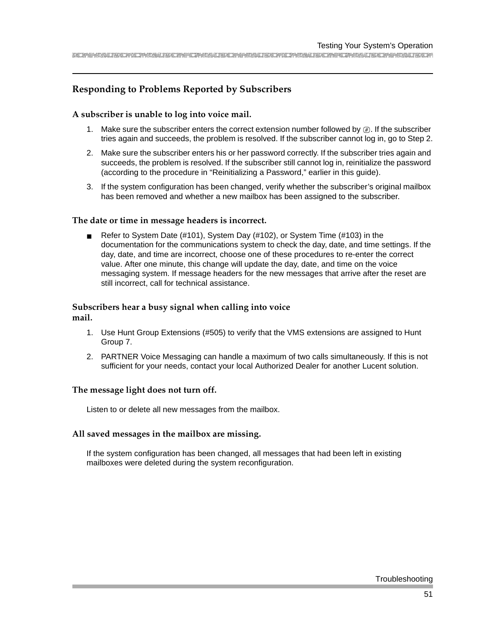# <span id="page-50-0"></span>**Responding to Problems Reported by Subscribers**

#### <span id="page-50-1"></span>**A subscriber is unable to log into voice mail.**

- 1. Make sure the subscriber enters the correct extension number followed by  $\mathcal{D}$ . If the subscriber tries again and succeeds, the problem is resolved. If the subscriber cannot log in, go to Step 2.
- 2. Make sure the subscriber enters his or her password correctly. If the subscriber tries again and succeeds, the problem is resolved. If the subscriber still cannot log in, reinitialize the password (according to the procedure in "Reinitializing a Password," earlier in this guide).
- 3. If the system configuration has been changed, verify whether the subscriber's original mailbox has been removed and whether a new mailbox has been assigned to the subscriber.

#### <span id="page-50-2"></span>**The date or time in message headers is incorrect.**

■ Refer to System Date (#101), System Day (#102), or System Time (#103) in the documentation for the communications system to check the day, date, and time settings. If the day, date, and time are incorrect, choose one of these procedures to re-enter the correct value. After one minute, this change will update the day, date, and time on the voice messaging system. If message headers for the new messages that arrive after the reset are still incorrect, call for technical assistance.

#### <span id="page-50-3"></span>**Subscribers hear a busy signal when calling into voice mail.**

- 1. Use Hunt Group Extensions (#505) to verify that the VMS extensions are assigned to Hunt Group 7.
- 2. PARTNER Voice Messaging can handle a maximum of two calls simultaneously. If this is not sufficient for your needs, contact your local Authorized Dealer for another Lucent solution.

#### <span id="page-50-4"></span>**The message light does not turn off.**

Listen to or delete all new messages from the mailbox.

#### <span id="page-50-5"></span>**All saved messages in the mailbox are missing.**

If the system configuration has been changed, all messages that had been left in existing mailboxes were deleted during the system reconfiguration.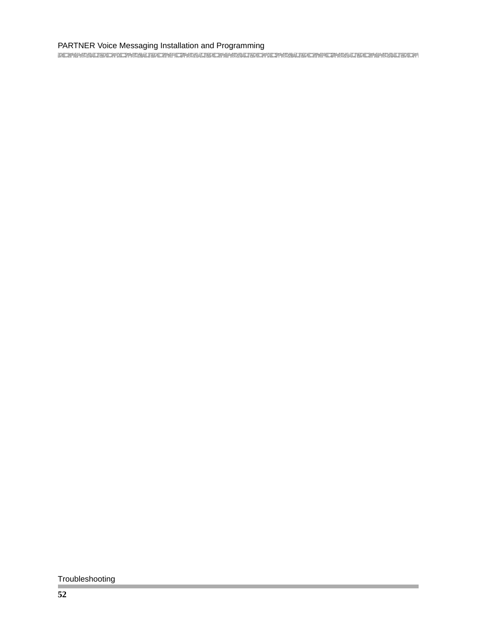PARTNER Voice Messaging Installation and Programming<br>FERWERKERTER PRENDITIE FOR THE ENGINEERS OF THE PRENDITIE TO THE ENGINEERS OF THE ENGINEERS

a sa kacamatan ing Kabupatèn Kabupatèn Ing

Troubleshooting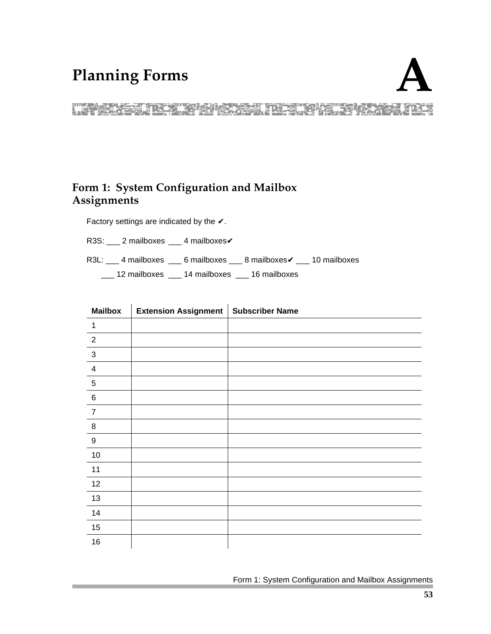

# <span id="page-52-2"></span><span id="page-52-0"></span>Planning Forms<br> **ARE ARE TO BUSE APPEAL TO BUSE ARE**

# <span id="page-52-1"></span>**Form 1: System Configuration and Mailbox Assignments**

Factory settings are indicated by the  $\checkmark$ .

R3S: \_\_\_ 2 mailboxes \_\_\_ 4 mailboxes✔

R3L: \_\_\_ 4 mailboxes \_\_\_ 6 mailboxes \_\_\_ 8 mailboxes✔ \_\_\_ 10 mailboxes

\_\_\_ 12 mailboxes \_\_\_ 14 mailboxes \_\_\_ 16 mailboxes

| <b>Mailbox</b>   | <b>Extension Assignment</b> | <b>Subscriber Name</b> |
|------------------|-----------------------------|------------------------|
| $\mathbf{1}$     |                             |                        |
| $\overline{2}$   |                             |                        |
| $\mathbf{3}$     |                             |                        |
| $\overline{4}$   |                             |                        |
| $\sqrt{5}$       |                             |                        |
| $\,6\,$          |                             |                        |
| $\overline{7}$   |                             |                        |
| $\,8\,$          |                             |                        |
| $\boldsymbol{9}$ |                             |                        |
| 10               |                             |                        |
| 11               |                             |                        |
| 12               |                             |                        |
| 13               |                             |                        |
| 14               |                             |                        |
| 15               |                             |                        |
| 16               |                             |                        |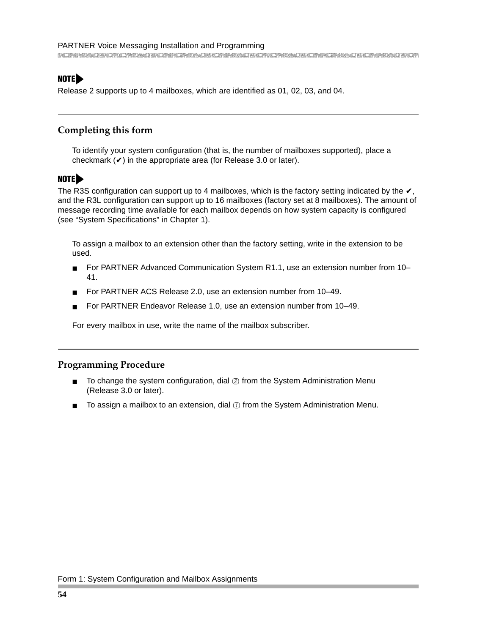# **NOTE**

Release 2 supports up to 4 mailboxes, which are identified as 01, 02, 03, and 04.

# <span id="page-53-0"></span>**Completing this form**

To identify your system configuration (that is, the number of mailboxes supported), place a checkmark  $(V)$  in the appropriate area (for Release 3.0 or later).

# NOTE<sup>></sup>

The R3S configuration can support up to 4 mailboxes, which is the factory setting indicated by the  $\checkmark$ , and the R3L configuration can support up to 16 mailboxes (factory set at 8 mailboxes). The amount of message recording time available for each mailbox depends on how system capacity is configured (see "System Specifications" in Chapter 1).

To assign a mailbox to an extension other than the factory setting, write in the extension to be used.

- For PARTNER Advanced Communication System R1.1, use an extension number from 10– 41.
- For PARTNER ACS Release 2.0, use an extension number from 10–49.
- For PARTNER Endeavor Release 1.0, use an extension number from 10–49.

For every mailbox in use, write the name of the mailbox subscriber.

# <span id="page-53-1"></span>**Programming Procedure**

- To change the system configuration, dial ② from the System Administration Menu (Release 3.0 or later).
- To assign a mailbox to an extension, dial  $\sigma$  from the System Administration Menu.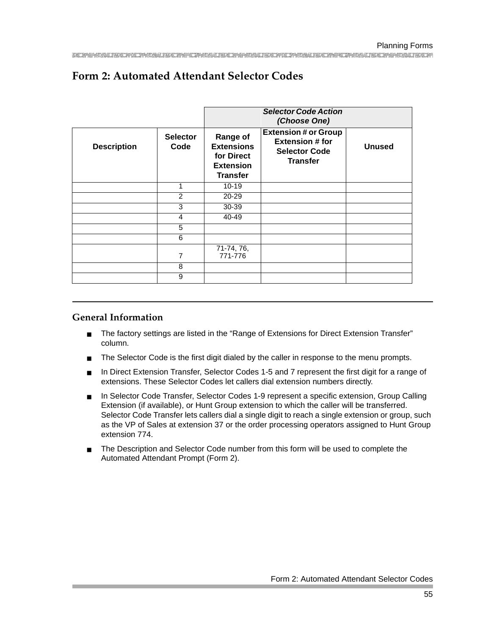.<br>그리 한 시 전 사람의 그만 하나 있는 사람들이 그만 있는 것 같은 것 같은데 그만 있는 것 같은 것 같은데, 그만 하나 사람들이 나 있는 것 같은 것 같은 것 같은데, 그만 있는 것 같은 것 같은

|                    |                         | <b>Selector Code Action</b><br>(Choose One)                                        |                                                                                                  |               |
|--------------------|-------------------------|------------------------------------------------------------------------------------|--------------------------------------------------------------------------------------------------|---------------|
| <b>Description</b> | <b>Selector</b><br>Code | Range of<br><b>Extensions</b><br>for Direct<br><b>Extension</b><br><b>Transfer</b> | <b>Extension # or Group</b><br><b>Extension # for</b><br><b>Selector Code</b><br><b>Transfer</b> | <b>Unused</b> |
|                    |                         | $10-19$                                                                            |                                                                                                  |               |
|                    | $\overline{2}$          | $20 - 29$                                                                          |                                                                                                  |               |
|                    | 3                       | 30-39                                                                              |                                                                                                  |               |
|                    | 4                       | 40-49                                                                              |                                                                                                  |               |
|                    | 5                       |                                                                                    |                                                                                                  |               |
|                    | 6                       |                                                                                    |                                                                                                  |               |
|                    |                         | 71-74, 76,<br>771-776                                                              |                                                                                                  |               |
|                    | 8                       |                                                                                    |                                                                                                  |               |
|                    | 9                       |                                                                                    |                                                                                                  |               |

# <span id="page-54-0"></span>**Form 2: Automated Attendant Selector Codes**

# <span id="page-54-1"></span>**General Information**

- The factory settings are listed in the "Range of Extensions for Direct Extension Transfer" column.
- The Selector Code is the first digit dialed by the caller in response to the menu prompts.
- In Direct Extension Transfer, Selector Codes 1-5 and 7 represent the first digit for a range of extensions. These Selector Codes let callers dial extension numbers directly.
- In Selector Code Transfer, Selector Codes 1-9 represent a specific extension, Group Calling Extension (if available), or Hunt Group extension to which the caller will be transferred. Selector Code Transfer lets callers dial a single digit to reach a single extension or group, such as the VP of Sales at extension 37 or the order processing operators assigned to Hunt Group extension 774.
- The Description and Selector Code number from this form will be used to complete the Automated Attendant Prompt (Form 2).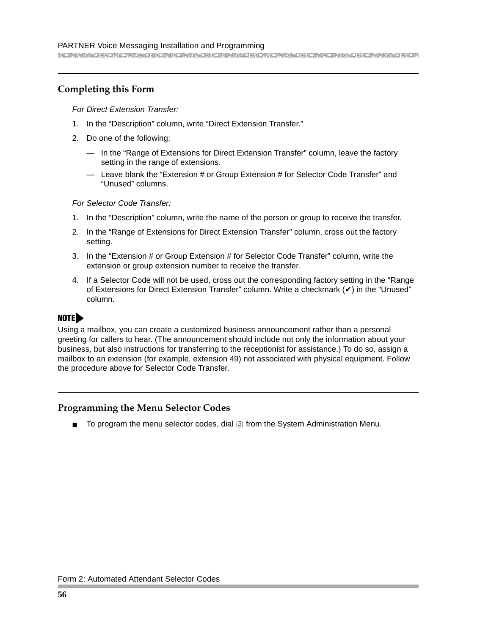.<br>그리 한 시 전 사람의 그만 하나 있는 사람들이 그만 있는 것 같은 것 같은데 그만 있는 것 같은 것 같은데, 그만 하나 사람들이 나 있는 것 같은 것 같은 것 같은데, 그만 있는 것 같은 것 같은

# <span id="page-55-0"></span>**Completing this Form**

#### For Direct Extension Transfer:

- 1. In the "Description" column, write "Direct Extension Transfer."
- 2. Do one of the following:
	- In the "Range of Extensions for Direct Extension Transfer" column, leave the factory setting in the range of extensions.
	- Leave blank the "Extension # or Group Extension # for Selector Code Transfer" and "Unused" columns.

#### For Selector Code Transfer:

- 1. In the "Description" column, write the name of the person or group to receive the transfer.
- 2. In the "Range of Extensions for Direct Extension Transfer" column, cross out the factory setting.
- 3. In the "Extension # or Group Extension # for Selector Code Transfer" column, write the extension or group extension number to receive the transfer.
- <span id="page-55-2"></span>4. If a Selector Code will not be used, cross out the corresponding factory setting in the "Range of Extensions for Direct Extension Transfer" column. Write a checkmark (✔) in the "Unused" column.

# **NOTE**

Using a mailbox, you can create a customized business announcement rather than a personal greeting for callers to hear. (The announcement should include not only the information about your business, but also instructions for transferring to the receptionist for assistance.) To do so, assign a mailbox to an extension (for example, extension 49) not associated with physical equipment. Follow the procedure above for Selector Code Transfer.

# <span id="page-55-1"></span>**Programming the Menu Selector Codes**

**■** To program the menu selector codes, dial  $\mathbb{Q}$  from the System Administration Menu.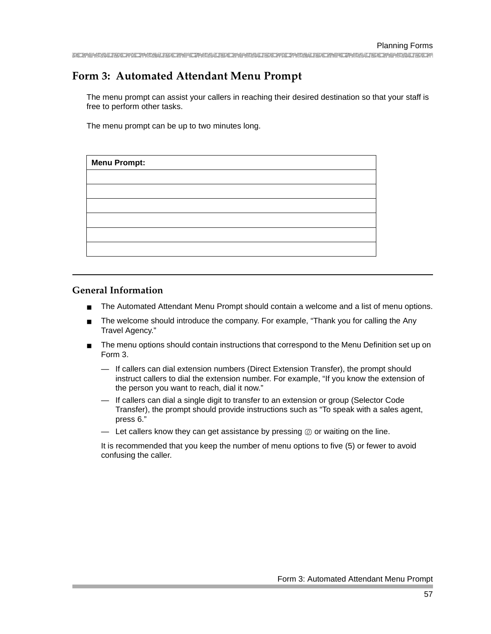Maleyeva Maleya Maleyayeva Texteyeva Alyang Texteyeva Maleya Texteya Texteyeva Maleyayeva Exteyeva Malet Textey

# <span id="page-56-0"></span>**Form 3: Automated Attendant Menu Prompt**

The menu prompt can assist your callers in reaching their desired destination so that your staff is free to perform other tasks.

The menu prompt can be up to two minutes long.

| <b>Menu Prompt:</b> |  |
|---------------------|--|
|                     |  |
|                     |  |
|                     |  |
|                     |  |
|                     |  |
|                     |  |
|                     |  |
|                     |  |
|                     |  |
|                     |  |
|                     |  |
|                     |  |
|                     |  |

# <span id="page-56-1"></span>**General Information**

- The Automated Attendant Menu Prompt should contain a welcome and a list of menu options.
- The welcome should introduce the company. For example, "Thank you for calling the Any Travel Agency."
- The menu options should contain instructions that correspond to the Menu Definition set up on Form 3.
	- If callers can dial extension numbers (Direct Extension Transfer), the prompt should instruct callers to dial the extension number. For example, "If you know the extension of the person you want to reach, dial it now."
	- If callers can dial a single digit to transfer to an extension or group (Selector Code Transfer), the prompt should provide instructions such as "To speak with a sales agent, press 6."
	- $-$  Let callers know they can get assistance by pressing  $\oslash$  or waiting on the line.

It is recommended that you keep the number of menu options to five (5) or fewer to avoid confusing the caller.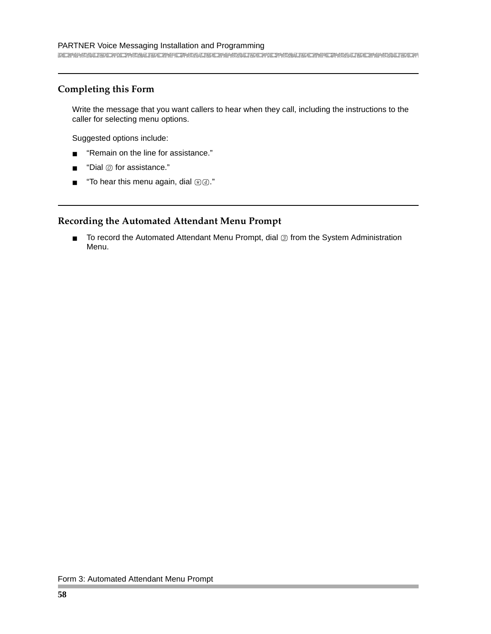# <span id="page-57-0"></span>**Completing this Form**

Write the message that you want callers to hear when they call, including the instructions to the caller for selecting menu options.

Suggested options include:

- "Remain on the line for assistance."
- "Dial @ for assistance."
- **To hear this menu again, dial**  $\mathcal{A}$ **.**"

# <span id="page-57-1"></span>**Recording the Automated Attendant Menu Prompt**

■ To record the Automated Attendant Menu Prompt, dial 3 from the System Administration Menu.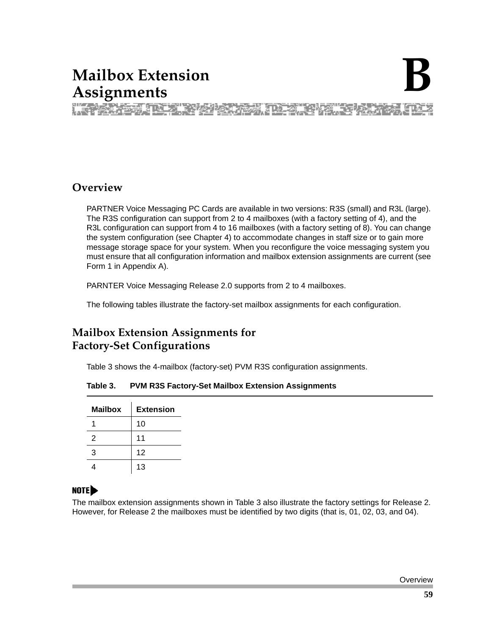# <span id="page-58-4"></span><span id="page-58-0"></span>**Mailbox Extension Assignments B**

# <span id="page-58-1"></span>**Overview**

计双子 经分

PARTNER Voice Messaging PC Cards are available in two versions: R3S (small) and R3L (large). The R3S configuration can support from 2 to 4 mailboxes (with a factory setting of 4), and the R3L configuration can support from 4 to 16 mailboxes (with a factory setting of 8). You can change the system configuration (see Chapter 4) to accommodate changes in staff size or to gain more message storage space for your system. When you reconfigure the voice messaging system you must ensure that all configuration information and mailbox extension assignments are current (see Form 1 in Appendix A).

PARNTER Voice Messaging Release 2.0 supports from 2 to 4 mailboxes.

The following tables illustrate the factory-set mailbox assignments for each configuration.

# <span id="page-58-3"></span><span id="page-58-2"></span>**Mailbox Extension Assignments for Factory-Set Configurations**

Table 3 shows the 4-mailbox (factory-set) PVM R3S configuration assignments.

| <b>Mailbox</b> | <b>Extension</b> |
|----------------|------------------|
|                | 10               |
| 2              | 11               |
| 3              | 12               |
|                | 13               |

**Table 3. PVM R3S Factory-Set Mailbox Extension Assignments**

# **NOTED**

The mailbox extension assignments shown in Table 3 also illustrate the factory settings for Release 2. However, for Release 2 the mailboxes must be identified by two digits (that is, 01, 02, 03, and 04).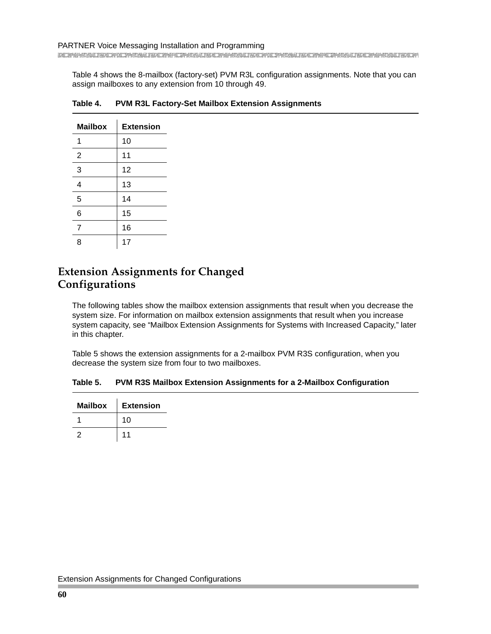Table 4 shows the 8-mailbox (factory-set) PVM R3L configuration assignments. Note that you can assign mailboxes to any extension from 10 through 49.

| <b>Mailbox</b> | <b>Extension</b> |
|----------------|------------------|
| 1              | 10               |
| $\overline{2}$ | 11               |
| 3              | 12               |
| 4              | 13               |
| 5              | 14               |
| 6              | 15               |
| 7              | 16               |
| 8              | 17               |

**Table 4. PVM R3L Factory-Set Mailbox Extension Assignments**

# <span id="page-59-0"></span>**Extension Assignments for Changed Configurations**

The following tables show the mailbox extension assignments that result when you decrease the system size. For information on mailbox extension assignments that result when you increase system capacity, see "Mailbox Extension Assignments for Systems with Increased Capacity," later in this chapter.

Table 5 shows the extension assignments for a 2-mailbox PVM R3S configuration, when you decrease the system size from four to two mailboxes.

| Table 5. | PVM R3S Mailbox Extension Assignments for a 2-Mailbox Configuration |  |  |  |
|----------|---------------------------------------------------------------------|--|--|--|
|----------|---------------------------------------------------------------------|--|--|--|

| <b>Mailbox</b> | <b>Extension</b> |
|----------------|------------------|
|                | 10               |
| ッ              |                  |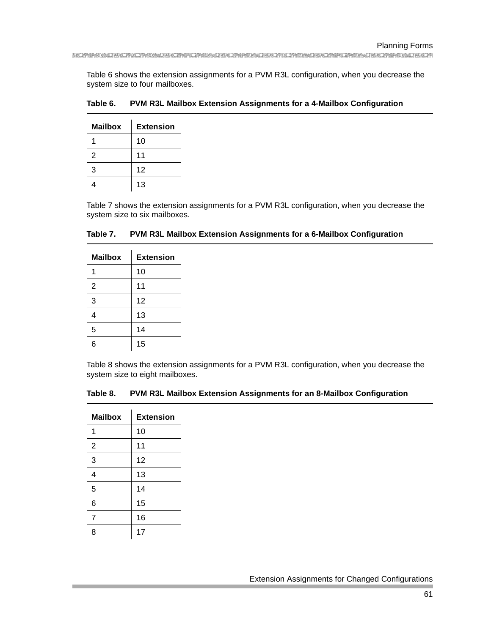e de la production de la control de la control de la construction de la control de la control de la control de

Table 6 shows the extension assignments for a PVM R3L configuration, when you decrease the system size to four mailboxes.

| PVM R3L Mailbox Extension Assignments for a 4-Mailbox Configuration<br>Table 6. |  |
|---------------------------------------------------------------------------------|--|
|---------------------------------------------------------------------------------|--|

| <b>Mailbox</b> | <b>Extension</b> |
|----------------|------------------|
|                | 10               |
| 2              | 11               |
| 3              | 12               |
|                | 13               |

Table 7 shows the extension assignments for a PVM R3L configuration, when you decrease the system size to six mailboxes.

| <b>Mailbox</b> | <b>Extension</b> |
|----------------|------------------|
|                | 10               |
| 2              | 11               |
| 3              | 12               |
| 4              | 13               |
| 5              | 14               |
| 6              | 15               |

**Table 7. PVM R3L Mailbox Extension Assignments for a 6-Mailbox Configuration**

Table 8 shows the extension assignments for a PVM R3L configuration, when you decrease the system size to eight mailboxes.

| <b>Mailbox</b> | <b>Extension</b> |
|----------------|------------------|
| 1              | 10               |
| $\overline{2}$ | 11               |
| 3              | 12               |
| 4              | 13               |
| 5              | 14               |
| 6              | 15               |
| 7              | 16               |
| 8              | 17               |

**Table 8. PVM R3L Mailbox Extension Assignments for an 8-Mailbox Configuration**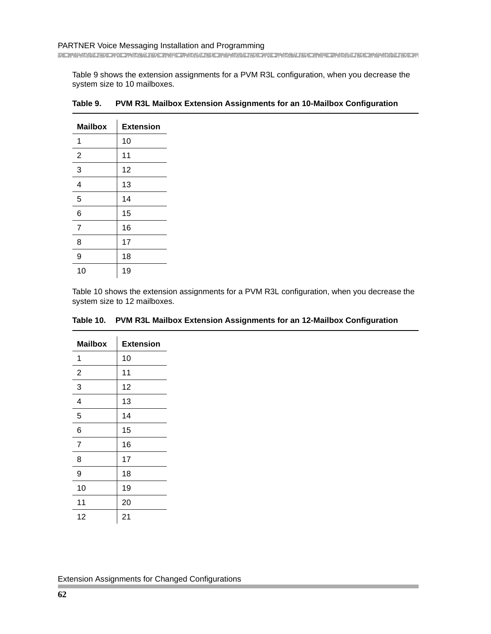PARTNER Voice Messaging Installation and Programming<br>FLEW STALLATION INSTALLATION CONTRACTORS IN THE PROPERTY PROPERTY PROPERTY INTERFERENCE

Table 9 shows the extension assignments for a PVM R3L configuration, when you decrease the system size to 10 mailboxes.

| <b>Mailbox</b> | <b>Extension</b> |
|----------------|------------------|
| 1              | 10               |
| $\overline{2}$ | 11               |
| 3              | 12               |
| 4              | 13               |
| 5              | 14               |
| 6              | 15               |
| $\overline{7}$ | 16               |
| 8              | 17               |
| 9              | 18               |
| 10             | 19               |

| Table 9. | <b>PVM R3L Mailbox Extension Assignments for an 10-Mailbox Configuration</b> |  |  |  |  |  |
|----------|------------------------------------------------------------------------------|--|--|--|--|--|
|----------|------------------------------------------------------------------------------|--|--|--|--|--|

Table 10 shows the extension assignments for a PVM R3L configuration, when you decrease the system size to 12 mailboxes.

| <b>Mailbox</b> | <b>Extension</b> |
|----------------|------------------|
| 1              | 10               |
|                |                  |
| $\overline{c}$ | 11               |
| 3              | 12               |
| 4              | 13               |
| 5              | 14               |
| 6              | 15               |
| $\overline{7}$ | 16               |
| 8              | 17               |
| 9              | 18               |
| 10             | 19               |
| 11             | 20               |
| 12             | 21               |

**Table 10. PVM R3L Mailbox Extension Assignments for an 12-Mailbox Configuration**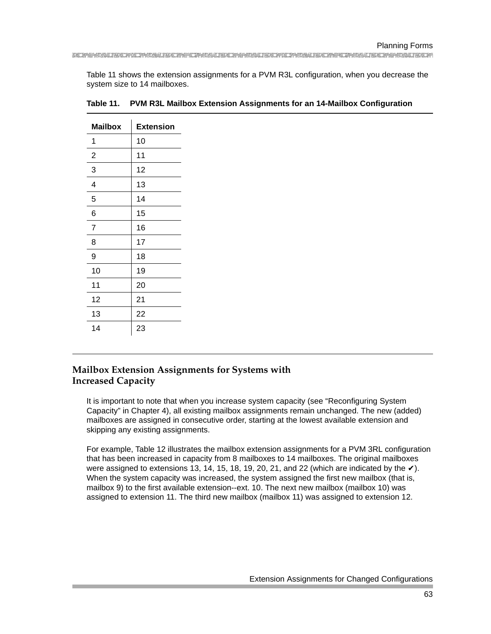Maleyeva Maleya Maleyayeva Texteyeva Alyang Texteyeva Maleya Texteya Texteyeva Maleyayeva Exteyeva Malet Textey

Table 11 shows the extension assignments for a PVM R3L configuration, when you decrease the system size to 14 mailboxes.

| <b>Mailbox</b> | <b>Extension</b> |
|----------------|------------------|
| 1              | 10               |
| $\overline{c}$ | 11               |
| 3              | 12               |
| 4              | 13               |
| 5              | 14               |
| 6              | 15               |
| 7              | 16               |
| 8              | 17               |
| 9              | 18               |
| 10             | 19               |
| 11             | 20               |
| 12             | 21               |
| 13             | 22               |
| 14             | 23               |

**Table 11. PVM R3L Mailbox Extension Assignments for an 14-Mailbox Configuration**

# <span id="page-62-0"></span>**Mailbox Extension Assignments for Systems with Increased Capacity**

It is important to note that when you increase system capacity (see "Reconfiguring System Capacity" in Chapter 4), all existing mailbox assignments remain unchanged. The new (added) mailboxes are assigned in consecutive order, starting at the lowest available extension and skipping any existing assignments.

For example, Table 12 illustrates the mailbox extension assignments for a PVM 3RL configuration that has been increased in capacity from 8 mailboxes to 14 mailboxes. The original mailboxes were assigned to extensions 13, 14, 15, 18, 19, 20, 21, and 22 (which are indicated by the  $\checkmark$ ). When the system capacity was increased, the system assigned the first new mailbox (that is, mailbox 9) to the first available extension--ext. 10. The next new mailbox (mailbox 10) was assigned to extension 11. The third new mailbox (mailbox 11) was assigned to extension 12.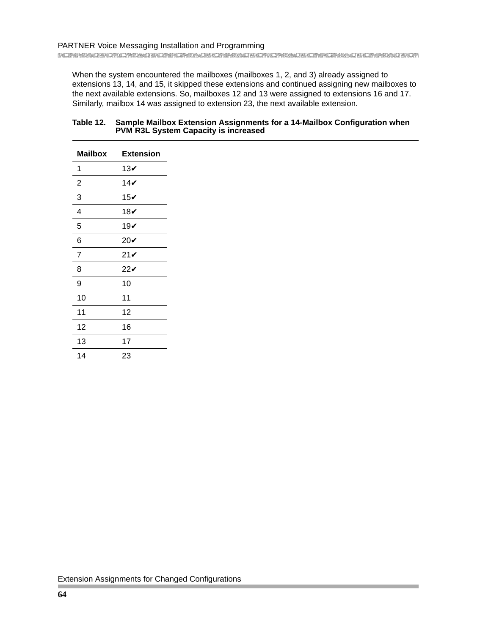When the system encountered the mailboxes (mailboxes 1, 2, and 3) already assigned to extensions 13, 14, and 15, it skipped these extensions and continued assigning new mailboxes to the next available extensions. So, mailboxes 12 and 13 were assigned to extensions 16 and 17. Similarly, mailbox 14 was assigned to extension 23, the next available extension.

#### **Table 12. Sample Mailbox Extension Assignments for a 14-Mailbox Configuration when PVM R3L System Capacity is increased**

| <b>Mailbox</b> | Extension                    |
|----------------|------------------------------|
| 1              | 13 $\boldsymbol{\mathsf{v}}$ |
| $\overline{2}$ | 14V                          |
| 3              | 15V                          |
| 4              | 18V                          |
| 5              | 19V                          |
| 6              | 20V                          |
| 7              | 21V                          |
| 8              | 22V                          |
| 9              | 10                           |
| 10             | 11                           |
| 11             | 12                           |
| 12             | 16                           |
| 13             | 17                           |
| 14             | 23                           |

Extension Assignments for Changed Configurations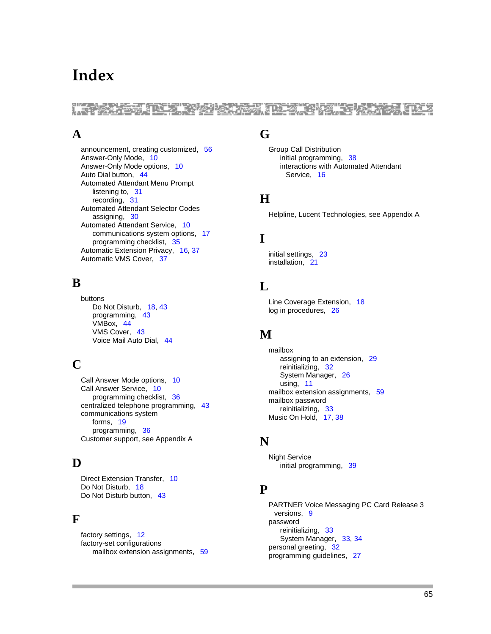# <span id="page-64-0"></span>**Index** LG

ka 37.

# **A**

announcement, creating customized, [56](#page-55-2) Answer-Only Mode, [10](#page-9-1) Answer-Only Mode options, [10](#page-9-2) Auto Dial button, [44](#page-43-2) Automated Attendant Menu Prompt listening to, [31](#page-30-2) recording, [31](#page-30-3) Automated Attendant Selector Codes assigning, [30](#page-29-1) Automated Attendant Service, [10](#page-9-3) communications system options, [17](#page-16-2) programming checklist, [35](#page-34-3) Automatic Extension Privacy, [16](#page-15-1), [37](#page-36-2) Automatic VMS Cover, [37](#page-36-3)

# **B**

buttons Do Not Disturb, [18,](#page-17-1) [43](#page-42-3) programming, [43](#page-42-4) VMBox, [44](#page-43-3) VMS Cover, [43](#page-42-5) Voice Mail Auto Dial, [44](#page-43-4)

# **C**

Call Answer Mode options, [10](#page-9-4) Call Answer Service, [10](#page-9-5) programming checklist, [36](#page-35-2) centralized telephone programming, [43](#page-42-6) communications system forms, [19](#page-18-1) programming, [36](#page-35-3) Customer support, see Appendix A

# **D**

Direct Extension Transfer, [10](#page-9-6) Do Not Disturb, [18](#page-17-2) Do Not Disturb button, [43](#page-42-7)

# **F**

factory settings, [12](#page-11-3) factory-set configurations mailbox extension assignments, [59](#page-58-3)

# **G**

Group Call Distribution initial programming, [38](#page-37-3) interactions with Automated Attendant Service, [16](#page-15-2)

# **H**

Helpline, Lucent Technologies, see Appendix A

# **I**

initial settings, [23](#page-22-0) installation, [21](#page-20-3)

# **L**

Line Coverage Extension, [18](#page-17-3) log in procedures, [26](#page-25-2)

# **M**

mailbox assigning to an extension, [29](#page-28-1) reinitializing, [32](#page-31-2) System Manager, [26](#page-25-3) using, [11](#page-10-1) mailbox extension assignments, [59](#page-58-4) mailbox password reinitializing, [33](#page-32-2) Music On Hold, [17](#page-16-3), [38](#page-37-4)

# **N**

Night Service initial programming, [39](#page-38-2)

# **P**

PARTNER Voice Messaging PC Card Release 3 versions, [9](#page-8-2) password reinitializing, [33](#page-32-3) System Manager, [33,](#page-32-4) [34](#page-33-1) personal greeting, [32](#page-31-3) programming guidelines, [27](#page-26-2)